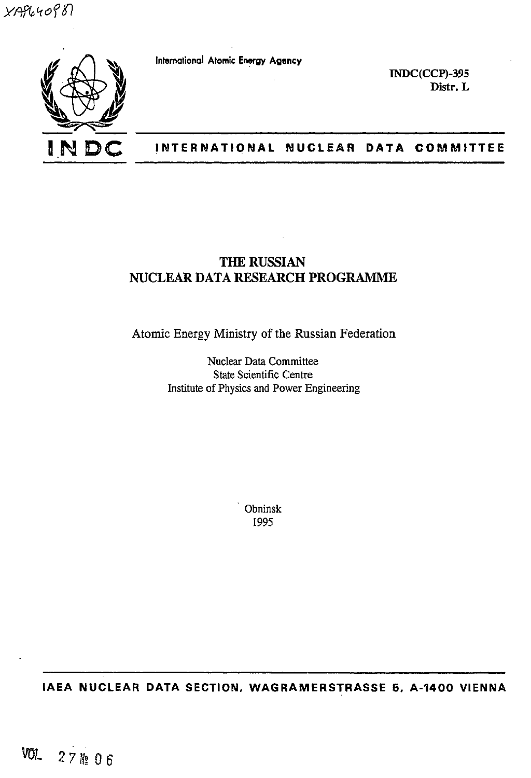$XAB$ 640 $98$ 

**IN** 

International Atomic Energy **Agency**

**EMDC(CCP)-395 Distr. L**

# **INTERNATIONAL NUCLEAR DATA COMMITTEE**

# **THE RUSSIAN NUCLEAR DATA RESEARCH PROGRAMME**

Atomic Energy Ministry of the Russian Federation

Nuclear Data Committee State Scientific Centre Institute of Physics and Power Engineering

> Obninsk 1995

**IAEA NUCLEAR DATA SECTION, WAGRAMERSTRASSE 5, A-1400 VIENNA**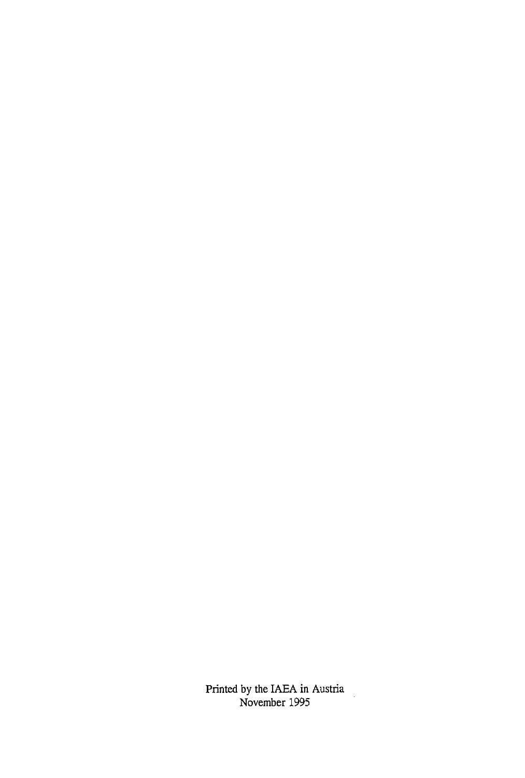Printed by the IAEA in Austria November 1995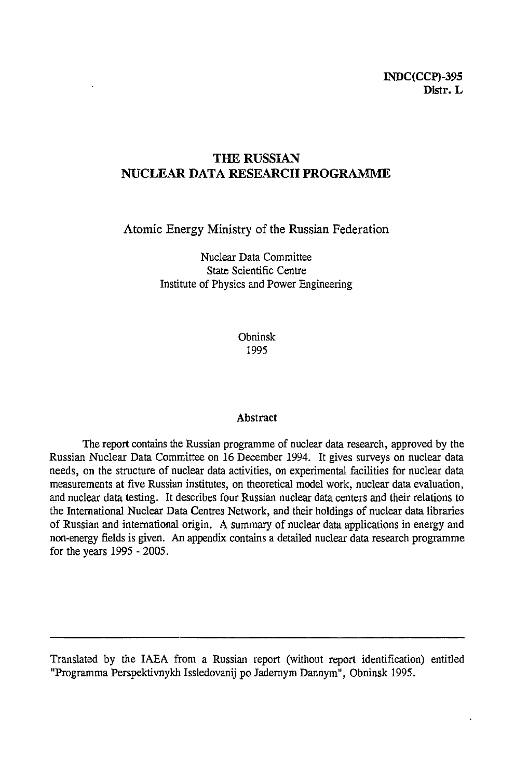# **THE RUSSIAN NUCLEAR DATA RESEARCH PROGRAMME**

Atomic Energy Ministry of the Russian Federation

Nuclear Data Committee State Scientific Centre Institute of Physics and Power Engineering

> Obninsk 1995

#### **Abstract**

The report contains the Russian programme of nuclear data research, approved by the Russian Nuclear Data Committee on 16 December 1994. It gives surveys on nuclear data needs, on the structure of nuclear data activities, on experimental facilities for nuclear data measurements at five Russian institutes, on theoretical model work, nuclear data evaluation, and nuclear data testing. It describes four Russian nuclear data centers and their relations to the International Nuclear Data Centres Network, and their holdings of nuclear data libraries of Russian and international origin. A summary of nuclear data applications in energy and non-energy fields is given. An appendix contains a detailed nuclear data research programme for the years 1995 - 2005.

Translated by the IAEA from a Russian report (without report identification) entitled "Programma Perspektivnykh Issledovanij po Jadernym Dannym", Obninsk 1995.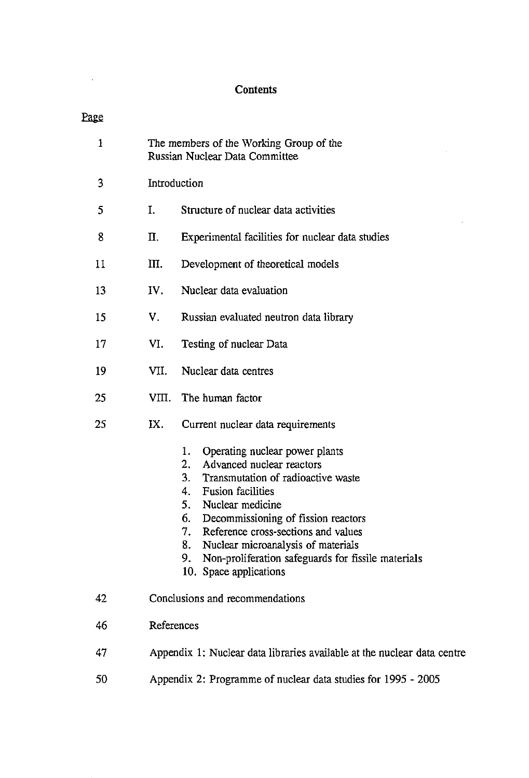# **Contents**

 $\mathcal{L}^{\text{max}}_{\text{max}}$ 

 $\mathcal{L}^{\text{max}}_{\text{max}}$  and  $\mathcal{L}^{\text{max}}_{\text{max}}$ 

| Page         |                                                                           |                                                                                                                                                                                                                                                                                                                                                                                                             |  |  |  |  |  |  |
|--------------|---------------------------------------------------------------------------|-------------------------------------------------------------------------------------------------------------------------------------------------------------------------------------------------------------------------------------------------------------------------------------------------------------------------------------------------------------------------------------------------------------|--|--|--|--|--|--|
| $\mathbf{1}$ | The members of the Working Group of the<br>Russian Nuclear Data Committee |                                                                                                                                                                                                                                                                                                                                                                                                             |  |  |  |  |  |  |
| 3            |                                                                           | Introduction                                                                                                                                                                                                                                                                                                                                                                                                |  |  |  |  |  |  |
| 5            | Ι.                                                                        | Structure of nuclear data activities                                                                                                                                                                                                                                                                                                                                                                        |  |  |  |  |  |  |
| 8            | П.                                                                        | Experimental facilities for nuclear data studies                                                                                                                                                                                                                                                                                                                                                            |  |  |  |  |  |  |
| 11           | Щ.                                                                        | Development of theoretical models                                                                                                                                                                                                                                                                                                                                                                           |  |  |  |  |  |  |
| 13           | IV.                                                                       | Nuclear data evaluation                                                                                                                                                                                                                                                                                                                                                                                     |  |  |  |  |  |  |
| 15           | V.                                                                        | Russian evaluated neutron data library                                                                                                                                                                                                                                                                                                                                                                      |  |  |  |  |  |  |
| 17           | VI.                                                                       | Testing of nuclear Data                                                                                                                                                                                                                                                                                                                                                                                     |  |  |  |  |  |  |
| 19           | VII.                                                                      | Nuclear data centres                                                                                                                                                                                                                                                                                                                                                                                        |  |  |  |  |  |  |
| 25           | VIII.                                                                     | The human factor                                                                                                                                                                                                                                                                                                                                                                                            |  |  |  |  |  |  |
| 25           | IX.                                                                       | Current nuclear data requirements                                                                                                                                                                                                                                                                                                                                                                           |  |  |  |  |  |  |
|              |                                                                           | Operating nuclear power plants<br>1.<br>2.<br>Advanced nuclear reactors<br>3.<br>Transmutation of radioactive waste<br><b>Fusion facilities</b><br>4.<br>5.<br>Nuclear medicine<br>Decommissioning of fission reactors<br>6.<br>7.<br>Reference cross-sections and values<br>Nuclear microanalysis of materials<br>8.<br>Non-proliferation safeguards for fissile materials<br>9.<br>10. Space applications |  |  |  |  |  |  |
| 42           |                                                                           | Conclusions and recommendations                                                                                                                                                                                                                                                                                                                                                                             |  |  |  |  |  |  |
| 46           | References                                                                |                                                                                                                                                                                                                                                                                                                                                                                                             |  |  |  |  |  |  |
| 47           |                                                                           | Appendix 1: Nuclear data libraries available at the nuclear data centre                                                                                                                                                                                                                                                                                                                                     |  |  |  |  |  |  |
| 50           |                                                                           | Appendix 2: Programme of nuclear data studies for 1995 - 2005                                                                                                                                                                                                                                                                                                                                               |  |  |  |  |  |  |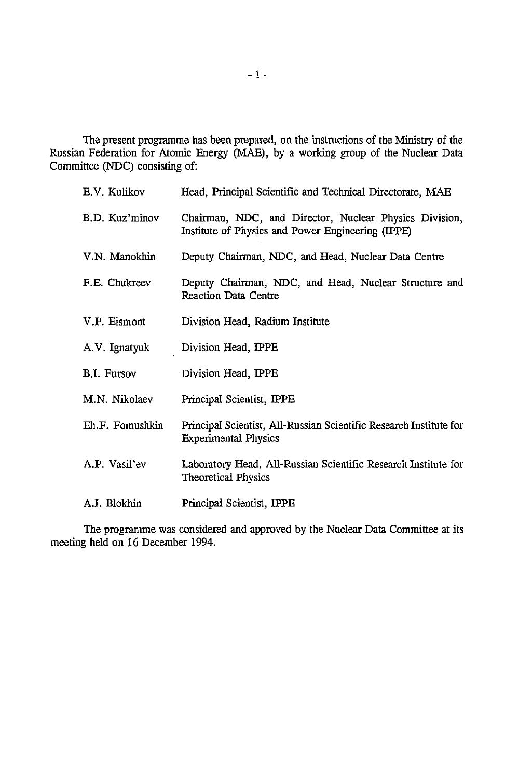The present programme has been prepared, on the instructions of the Ministry of the Russian Federation for Atomic Energy (MAE), by a working group of the Nuclear Data Committee (NDC) consisting of:

| E.V. Kulikov    | Head, Principal Scientific and Technical Directorate, MAE                                                   |
|-----------------|-------------------------------------------------------------------------------------------------------------|
| B.D. Kuz'minov  | Chairman, NDC, and Director, Nuclear Physics Division,<br>Institute of Physics and Power Engineering (IPPE) |
| V.N. Manokhin   | Deputy Chairman, NDC, and Head, Nuclear Data Centre                                                         |
| F.E. Chukreev   | Deputy Chairman, NDC, and Head, Nuclear Structure and<br><b>Reaction Data Centre</b>                        |
| V.P. Eismont    | Division Head, Radium Institute                                                                             |
| A.V. Ignatyuk   | Division Head, IPPE                                                                                         |
| B.I. Fursov     | Division Head, IPPE                                                                                         |
| M.N. Nikolaev   | Principal Scientist, IPPE                                                                                   |
| Eh.F. Fomushkin | Principal Scientist, All-Russian Scientific Research Institute for<br><b>Experimental Physics</b>           |
| A.P. Vasil'ev   | Laboratory Head, All-Russian Scientific Research Institute for<br><b>Theoretical Physics</b>                |
| A.I. Blokhin    | Principal Scientist, IPPE                                                                                   |

The programme was considered and approved by the Nuclear Data Committee at its meeting held on 16 December 1994.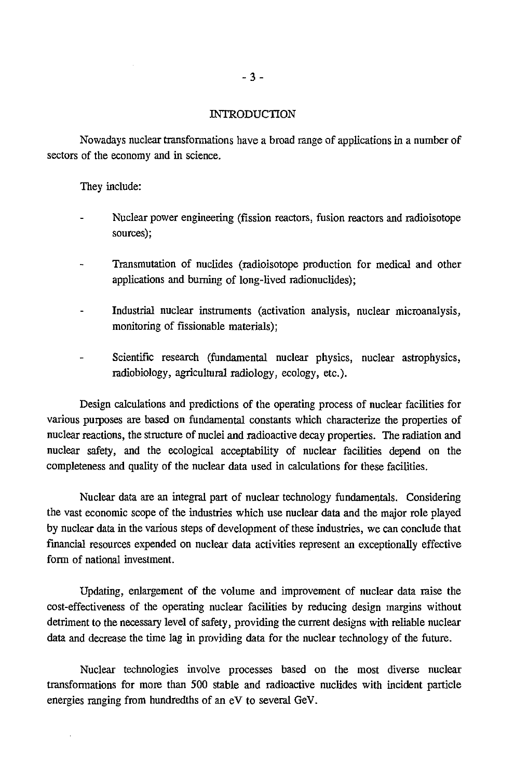#### INTRODUCTION

Nowadays nuclear transformations have a broad range of applications in a number of sectors of the economy and in science.

They include:

 $\bar{z}$ 

- Nuclear power engineering (fission reactors, fusion reactors and radioisotope sources);
- Transmutation of nuclides (radioisotope production for medical and other applications and burning of long-lived radionuclides);
- Industrial nuclear instruments (activation analysis, nuclear microanalysis, monitoring of fissionable materials);
- Scientific research (fundamental nuclear physics, nuclear astrophysics, radiobiology, agricultural radiology, ecology, etc.).

Design calculations and predictions of the operating process of nuclear facilities for various purposes are based on fundamental constants which characterize the properties of nuclear reactions, the structure of nuclei and radioactive decay properties. The radiation and nuclear safety, and the ecological acceptability of nuclear facilities depend on the completeness and quality of the nuclear data used in calculations for these facilities.

Nuclear data are an integral part of nuclear technology fundamentals. Considering the vast economic scope of the industries which use nuclear data and the major role played by nuclear data in the various steps of development of these industries, we can conclude that financial resources expended on nuclear data activities represent an exceptionally effective form of national investment.

Updating, enlargement of the volume and improvement of nuclear data raise the cost-effectiveness of the operating nuclear facilities by reducing design margins without detriment to the necessary level of safety, providing the current designs with reliable nuclear data and decrease the time lag in providing data for the nuclear technology of the future.

Nuclear technologies involve processes based on the most diverse nuclear transformations for more than 500 stable and radioactive nuclides with incident particle energies ranging from hundredths of an eV to several GeV.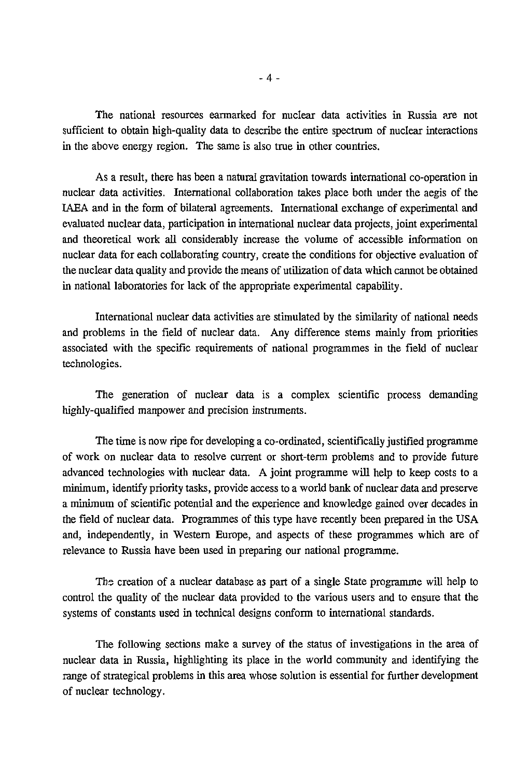The national resources earmarked for nuclear data activities in Russia are not sufficient to obtain high-quality data to describe the entire spectrum of nuclear interactions in the above energy region. The same is also true in other countries.

As a result, there has been a natural gravitation towards international co-operation in nuclear data activities. International collaboration takes place both under the aegis of the IAEA and in the form of bilateral agreements. International exchange of experimental and evaluated nuclear data, participation in international nuclear data projects, joint experimental and theoretical work all considerably increase the volume of accessible information on nuclear data for each collaborating country, create the conditions for objective evaluation of the nuclear data quality and provide the means of utilization of data which cannot be obtained in national laboratories for lack of the appropriate experimental capability.

International nuclear data activities are stimulated by the similarity of national needs and problems in the field of nuclear data. Any difference stems mainly from priorities associated with the specific requirements of national programmes in the field of nuclear technologies.

The generation of nuclear data is a complex scientific process demanding highly-qualified manpower and precision instruments.

The time is now ripe for developing a co-ordinated, scientifically justified programme of work on nuclear data to resolve current or short-term problems and to provide future advanced technologies with nuclear data. A joint programme will help to keep costs to a minimum, identify priority tasks, provide access to a world bank of nuclear data and preserve a minimum of scientific potential and the experience and knowledge gained over decades in the field of nuclear data. Programmes of this type have recently been prepared in the USA and, independently, in Western Europe, and aspects of these programmes which are of relevance to Russia have been used in preparing our national programme.

Tbs creation of a nuclear database as part of a single State programme will help to control the quality of the nuclear data provided to the various users and to ensure that the systems of constants used in technical designs conform to international standards.

The following sections make a survey of the status of investigations in the area of nuclear data in Russia, highlighting its place in the world community and identifying the range of strategical problems in this area whose solution is essential for further development of nuclear technology.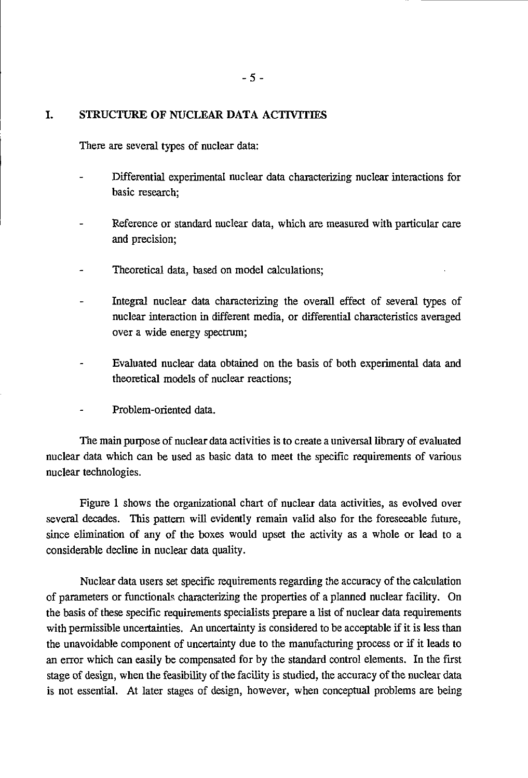#### **I. STRUCTURE OF NUCLEAR DATA ACTIVITIES**

There are several types of nuclear data:

- Differential experimental nuclear data characterizing nuclear interactions for basic research;
- Reference or standard nuclear data, which are measured with particular care and precision;
- Theoretical data, based on model calculations;
- Integral nuclear data characterizing the overall effect of several types of nuclear interaction in different media, or differential characteristics averaged over a wide energy spectrum;
- Evaluated nuclear data obtained on the basis of both experimental data and theoretical models of nuclear reactions;
- Problem-oriented data.

The main purpose of nuclear data activities is to create a universal library of evaluated nuclear data which can be used as basic data to meet the specific requirements of various nuclear technologies.

Figure 1 shows the organizational chart of nuclear data activities, as evolved over several decades. This pattern will evidently remain valid also for the foreseeable future, since elimination of any of the boxes would upset the activity as a whole or lead to a considerable decline in nuclear data quality.

Nuclear data users set specific requirements regarding the accuracy of the calculation of parameters or functionals characterizing the properties of a planned nuclear facility. On the basis of these specific requirements specialists prepare a list of nuclear data requirements with permissible uncertainties. An uncertainty is considered to be acceptable if it is less than the unavoidable component of uncertainty due to the manufacturing process or if it leads to an error which can easily be compensated for by the standard control elements. In the first stage of design, when the feasibility of the facility is studied, the accuracy of the nuclear data is not essential. At later stages of design, however, when conceptual problems are being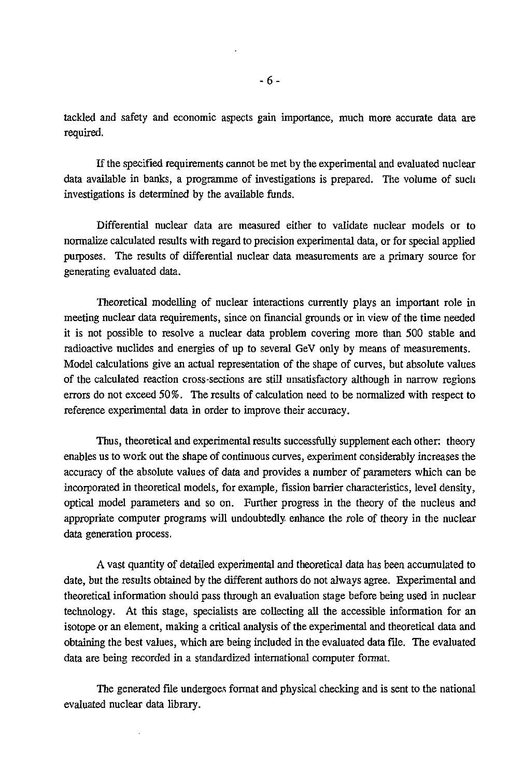tackled and safety and economic aspects gain importance, much more accurate data are required.

If the specified requirements cannot be met by the experimental and evaluated nuclear data available in banks, a programme of investigations is prepared. The volume of such investigations is determined by the available funds.

Differential nuclear data are measured either to validate nuclear models or to normalize calculated results with regard to precision experimental data, or for special applied purposes. The results of differential nuclear data measurements are a primary source for generating evaluated data.

Theoretical modelling of nuclear interactions currently plays an important role in meeting nuclear data requirements, since on financial grounds or in view of the time needed it is not possible to resolve a nuclear data problem covering more than 500 stable and radioactive nuclides and energies of up to several GeV only by means of measurements. Model calculations give an actual representation of the shape of curves, but absolute values of the calculated reaction cross-sections are still unsatisfactory although in narrow regions errors do not exceed 50%. The results of calculation need to be normalized with respect to reference experimental data in order to improve their accuracy.

Thus, theoretical and experimental results successfully supplement each other: theory enables us to work out the shape of continuous curves, experiment considerably increases the accuracy of the absolute values of data and provides a number of parameters which can be incorporated in theoretical models, for example, fission barrier characteristics, level density, optical model parameters and so on. Further progress in the theory of the nucleus and appropriate computer programs will undoubtedly enhance the role of theory in the nuclear data generation process.

A vast quantity of detailed experimental and theoretical data has been accumulated to date, but the results obtained by the different authors do not always agree. Experimental and theoretical information should pass through an evaluation stage before being used in nuclear technology. At this stage, specialists are collecting all the accessible information for an isotope or an element, making a critical analysis of the experimental and theoretical data and obtaining the best values, which are being included in the evaluated data file. The evaluated data are being recorded in a standardized international computer format.

The generated file undergoes format and physical checking and is sent to the national evaluated nuclear data library.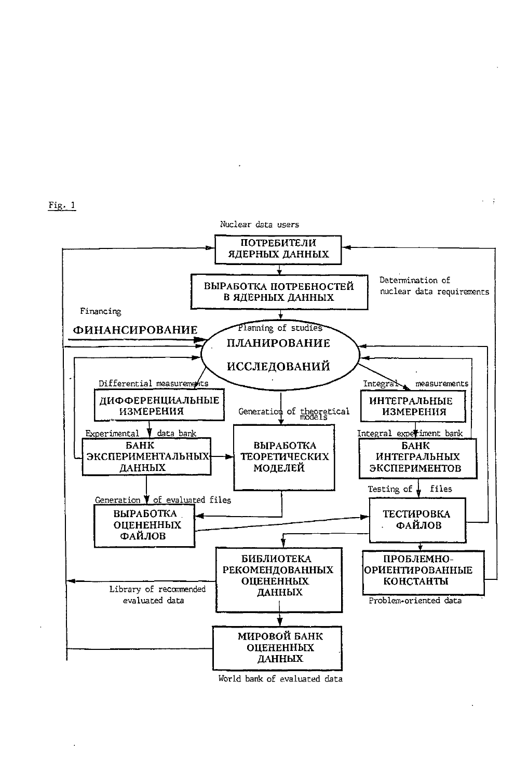



World bank of evaluated data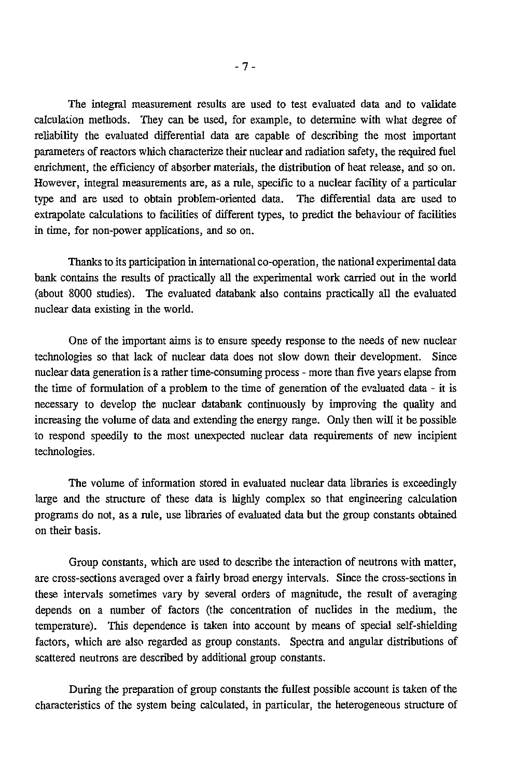The integral measurement results are used to test evaluated data and to validate calculation methods. They can be used, for example, to determine with what degree of reliability the evaluated differential data are capable of describing the most important parameters of reactors which characterize their nuclear and radiation safety, the required fuel enrichment, the efficiency of absorber materials, the distribution of heat release, and so on. However, integral measurements are, as a rule, specific to a nuclear facility of a particular type and are used to obtain problem-oriented data.. The differential data are used to extrapolate calculations to facilities of different types, to predict the behaviour of facilities in time, for non-power applications, and so on.

Thanks to its participation in international co-operation, the national experimental data bank contains the results of practically all the experimental work carried out in the world (about 8000 studies). The evaluated databank also contains practically all the evaluated nuclear data existing in the world.

One of the important aims is to ensure speedy response to the needs of new nuclear technologies so that lack of nuclear data does not slow down their development. Since nuclear data generation is a rather time-consuming process - more than five years elapse from the time of formulation of a problem to the time of generation of the evaluated data - it is necessary to develop the nuclear databank continuously by improving the quality and increasing the volume of data and extending the energy range. Only then will it be possible to respond speedily to the most unexpected nuclear data requirements of new incipient technologies.

The volume of information stored in evaluated nuclear data libraries is exceedingly large and the structure of these data is highly complex so that engineering calculation programs do not, as a rule, use libraries of evaluated data but the group constants obtained on their basis.

Group constants, which are used to describe the interaction of neutrons with matter, are cross-sections averaged over a fairly broad energy intervals. Since the cross-sections in these intervals sometimes vary by several orders of magnitude, the result of averaging depends on a number of factors (the concentration of nuclides in the medium, the temperature). This dependence is taken into account by means of special self-shielding factors, which are also regarded as group constants. Spectra and angular distributions of scattered neutrons are described by additional group constants.

During the preparation of group constants the fullest possible account is taken of the characteristics of the system being calculated, in particular, the heterogeneous structure of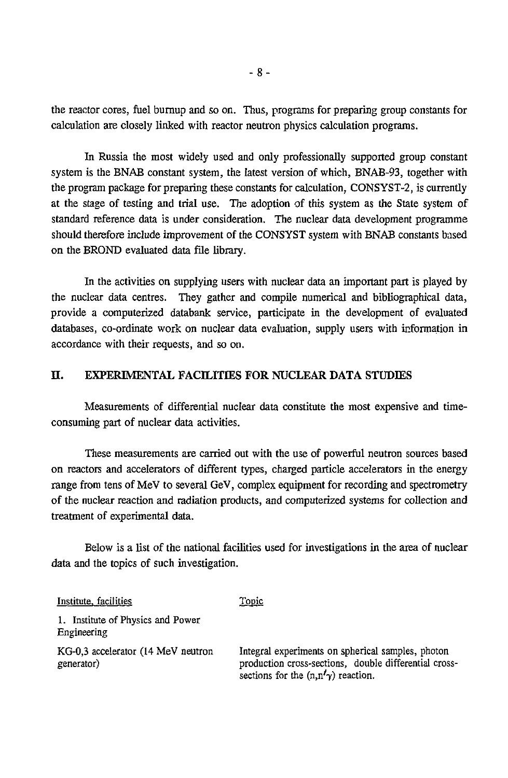the reactor cores, fuel burnup and so on. Thus, programs for preparing group constants for calculation are closely linked with reactor neutron physics calculation programs.

In Russia the most widely used and only professionally supported group constant system is the BNAB constant system, the latest version of which, BNAB-93, together with the program package for preparing these constants for calculation, CONSYST-2, is currently at the stage of testing and trial use. The adoption of this system as the State system of standard reference data is under consideration. The nuclear data development programme should therefore include improvement of the CONSYST system with BNAB constants based on the BROND evaluated data file library.

In the activities on supplying users with nuclear data an important part is played by the nuclear data centres. They gather and compile numerical and bibliographical data, provide a computerized databank service, participate in the development of evaluated databases, co-ordinate work on nuclear data evaluation, supply users with information in accordance with their requests, and so on.

## **H. EXPERIMENTAL FACILITIES FOR NUCLEAR DATA STUDIES**

Measurements of differential nuclear data constitute the most expensive and timeconsuming part of nuclear data activities.

These measurements are carried out with the use of powerful neutron sources based on reactors and accelerators of different types, charged particle accelerators in the energy range from tens of MeV to several GeV, complex equipment for recording and spectrometry of the nuclear reaction and radiation products, and computerized systems for collection and treatment of experimental data.

Below is a list of the national facilities used for investigations in the area of nuclear data and the topics of such investigation.

| Institute, facilities                            | <u>Topic</u>                                                                                                                                              |
|--------------------------------------------------|-----------------------------------------------------------------------------------------------------------------------------------------------------------|
| 1. Institute of Physics and Power<br>Engineering |                                                                                                                                                           |
| KG-0.3 accelerator (14 MeV neutron<br>generator) | Integral experiments on spherical samples, photon<br>production cross-sections, double differential cross-<br>sections for the $(n, n' \gamma)$ reaction. |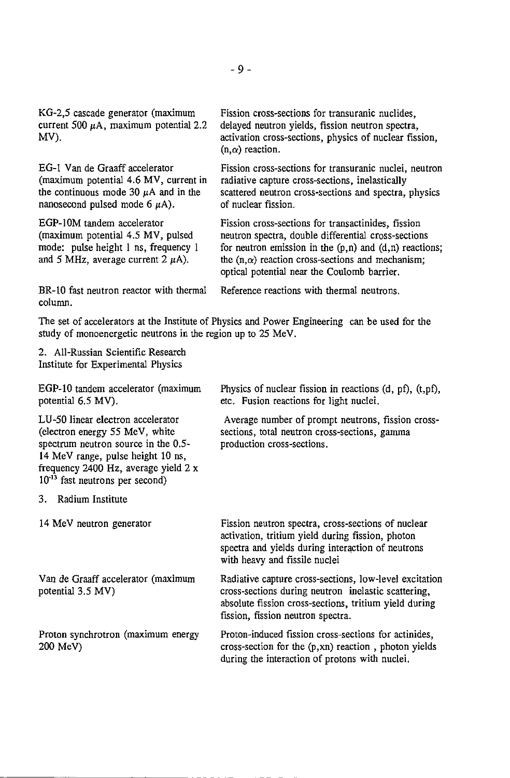KG-2,5 cascade generator (maximum current 500  $\mu$ A, maximum potential 2.2 MV).

EG-1 Van de Graaff accelerator (maximum potential 4.6 MV, current in the continuous mode 30  $\mu$ A and in the nanosecond pulsed mode  $6 \mu A$ ).

EGP-10M tandem accelerator (maximum potential 4.5 MV, pulsed mode: pulse height 1 ns, frequency 1 and 5 MHz, average current 2  $\mu$ A).

Fission cross-sections for transuranic nuclides, delayed neutron yields, fission neutron spectra, activation cross-sections, physics of nuclear fission,  $(n, \alpha)$  reaction.

Fission cross-sections for transuranic nuclei, neutron radiative capture cross-sections, inelastically scattered neutron cross-sections and spectra, physics of nuclear fission.

Fission cross-sections for transactinides, fission neutron spectra, double differential cross-sections for neutron emission in the  $(p,n)$  and  $(d,n)$  reactions; the  $(n,\alpha)$  reaction cross-sections and mechanism: optical potential near the Coulomb barrier.

Reference reactions with thermal neutrons.

BR-10 fast neutron reactor with thermal column.

The set of accelerators at the Institute of Physics and Power Engineering can be used for the study of monoenergetic neutrons in the region up to 25 MeV.

2. All-Russian Scientific Research Institute for Experimental Physics

EGP-10 tandem accelerator (maximum potential 6.5 MV).

LU-50 linear electron accelerator (electron energy 55 MeV, white spectrum neutron source in the 0.5- 14 MeV range, pulse height 10 ns, frequency 2400 Hz, average yield 2 x 10<sup>-13</sup> fast neutrons per second)

3. Radium Institute

14 MeV neutron generator

Van de Graaff accelerator (maximum potential 3.5 MV)

Proton synchrotron (maximum energy 200 MeV)

Physics of nuclear fission in reactions (d, pf), (t,pf), etc. Fusion reactions for light nuclei.

Average number of prompt neutrons, fission crosssections, total neutron cross-sections, gamma production cross-sections.

Fission neutron spectra, cross-sections of nuclear activation, tritium yield during fission, photon spectra and yields during interaction of neutrons with heavy and fissile nuclei

Radiative capture cross-sections, low-level excitation cross-sections during neutron inelastic scattering, absolute fission cross-sections, tritium yield during fission, fission neutron spectra.

Proton-induced fission cross-sections for actinides, cross-section for the (p,xn) reaction , photon yields during the interaction of protons with nuclei.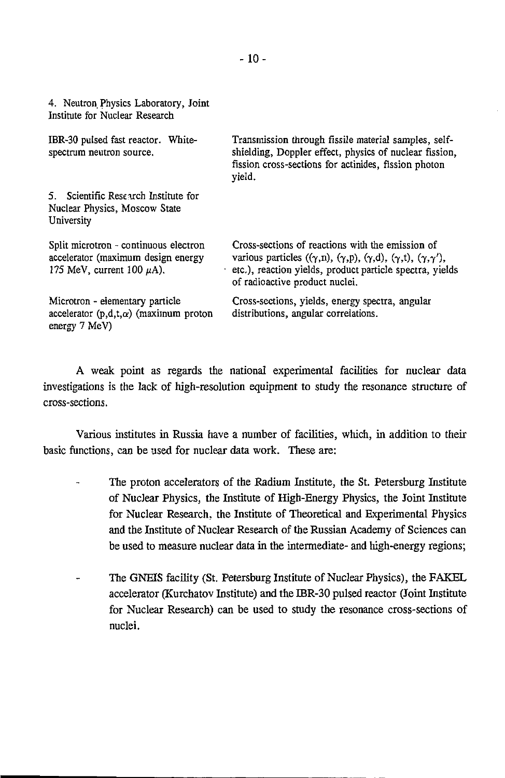| 4. Neutron Physics Laboratory, Joint<br>Institute for Nuclear Research                                        |                                                                                                                                                                                                                                          |
|---------------------------------------------------------------------------------------------------------------|------------------------------------------------------------------------------------------------------------------------------------------------------------------------------------------------------------------------------------------|
| IBR-30 pulsed fast reactor. White-<br>spectrum neutron source.                                                | Transmission through fissile material samples, self-<br>shielding, Doppler effect, physics of nuclear fission,<br>fission cross-sections for actinides, fission photon<br>yield.                                                         |
| 5. Scientific Research Institute for<br>Nuclear Physics, Moscow State<br>University                           |                                                                                                                                                                                                                                          |
| Split microtron - continuous electron<br>accelerator (maximum design energy<br>175 MeV, current 100 $\mu$ A). | Cross-sections of reactions with the emission of<br>various particles $((\gamma,n), (\gamma,p), (\gamma,d), (\gamma,t), (\gamma,\gamma'),$<br>etc.), reaction yields, product particle spectra, yields<br>of radioactive product nuclei. |
| Microtron - elementary particle<br>accelerator $(p,d,t,\alpha)$ (maximum proton<br>energy $7 \text{ MeV}$ )   | Cross-sections, yields, energy spectra, angular<br>distributions, angular correlations.                                                                                                                                                  |

A weak point as regards the national experimental facilities for nuclear data investigations is the lack of high-resolution equipment to study the resonance structure of cross-sections.

Various institutes in Russia have a number of facilities, which, in addition to their basic functions, can be used for nuclear data work. These are:

- The proton accelerators of the Radium Institute, the St. Petersburg Institute  $\ddot{ }$ of Nuclear Physics, the Institute of High-Energy Physics, the Joint Institute for Nuclear Research, the Institute of Theoretical and Experimental Physics and the Institute of Nuclear Research of the Russian Academy of Sciences can be used to measure nuclear data in the intermediate- and high-energy regions;
- The GNEIS facility (St. Petersburg Institute of Nuclear Physics), the FAKEL accelerator (Kurchatov Institute) and the IBR-30 pulsed reactor (Joint Institute for Nuclear Research) can be used to study the resonance cross-sections of nuclei.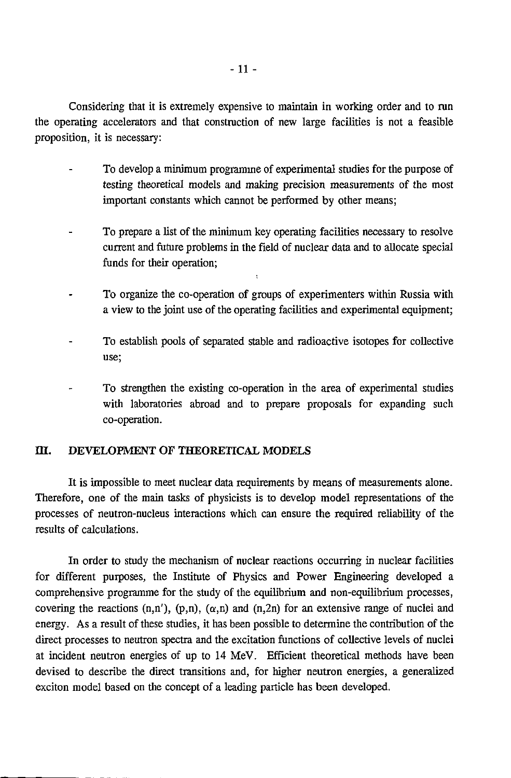Considering that it is extremely expensive to maintain in working order and to run the operating accelerators and that construction of new large facilities is not a feasible proposition, it is necessary:

- To develop a minimum programme of experimental studies for the purpose of testing theoretical models and making precision measurements of the most important constants which cannot be performed by other means;
- To prepare a list of the minimum key operating facilities necessary to resolve current and future problems in the field of nuclear data and to allocate special funds for their operation;
- To organize the co-operation of groups of experimenters within Russia with a view to the joint use of the operating facilities and experimental equipment;

 $\mathbf{r}$ 

- To establish pools of separated stable and radioactive isotopes for collective use;
- To strengthen the existing co-operation in the area of experimental studies with laboratories abroad and to prepare proposals for expanding such co-operation.

#### **HI. DEVELOPMENT OF THEORETICAL MODELS**

It is impossible to meet nuclear data requirements by means of measurements alone. Therefore, one of the main tasks of physicists is to develop model representations of the processes of neutron-nucleus interactions which can ensure the required reliability of the results of calculations.

In order to study the mechanism of nuclear reactions occurring in nuclear facilities for different purposes, the Institute of Physics and Power Engineering developed a comprehensive programme for the study of the equilibrium and non-equilibrium processes, covering the reactions  $(n,n')$ ,  $(p,n)$ ,  $(\alpha,n)$  and  $(n,2n)$  for an extensive range of nuclei and energy. As a result of these studies, it has been possible to determine the contribution of the direct processes to neutron spectra and the excitation functions of collective levels of nuclei at incident neutron energies of up to 14 MeV. Efficient theoretical methods have been devised to describe the direct transitions and, for higher neutron energies, a generalized exciton model based on the concept of a leading particle has been developed.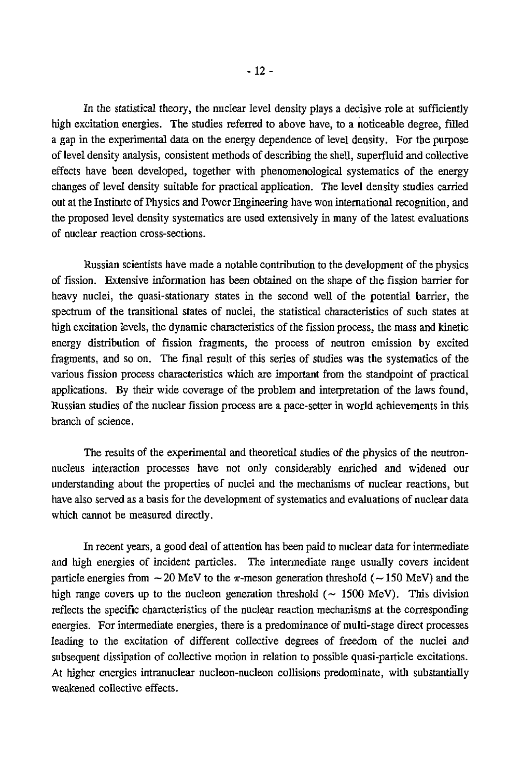In the statistical theory, the nuclear level density plays a decisive role at sufficiently high excitation energies. The studies referred to above have, to a noticeable degree, filled a gap in the experimental data on the energy dependence of level density. For the purpose of level density analysis, consistent methods of describing the shell, superfluid and collective effects have been developed, together with phenomenological systematics of the energy changes of level density suitable for practical application. The level density studies carried out at the Institute of Physics and Power Engineering have won international recognition, and

the proposed level density systematics are used extensively in many of the latest evaluations

of nuclear reaction cross-sections.

Russian scientists have made a notable contribution to the development of the physics of fission. Extensive information has been obtained on the shape of the fission barrier for heavy nuclei, the quasi-stationary states in the second well of the potential barrier, the spectrum of the transitional states of nuclei, the statistical characteristics of such states at high excitation levels, the dynamic characteristics of the fission process, the mass and kinetic energy distribution of fission fragments, the process of neutron emission by excited fragments, and so on. The final result of this series of studies was the systematics of the various fission process characteristics which are important from the standpoint of practical applications. By their wide coverage of the problem and interpretation of the laws found, Russian studies of the nuclear fission process are a pace-setter in world achievements in this branch of science.

The results of the experimental and theoretical studies of the physics of the neutronnucleus interaction processes have not only considerably enriched and widened our understanding about the properties of nuclei and the mechanisms of nuclear reactions, but have also served as a basis for the development of systematics and evaluations of nuclear data which cannot be measured directly.

In recent years, a good deal of attention has been paid to nuclear data for intermediate and high energies of incident particles. The intermediate range usually covers incident particle energies from  $-20$  MeV to the  $\pi$ -meson generation threshold ( $-150$  MeV) and the high range covers up to the nucleon generation threshold  $(-1500 \text{ MeV})$ . This division reflects the specific characteristics of the nuclear reaction mechanisms at the corresponding energies. For intermediate energies, there is a predominance of multi-stage direct processes leading to the excitation of different collective degrees of freedom of the nuclei and subsequent dissipation of collective motion in relation to possible quasi-particle excitations. At higher energies intranuclear nucleon-nucleon collisions predominate, with substantially weakened collective effects.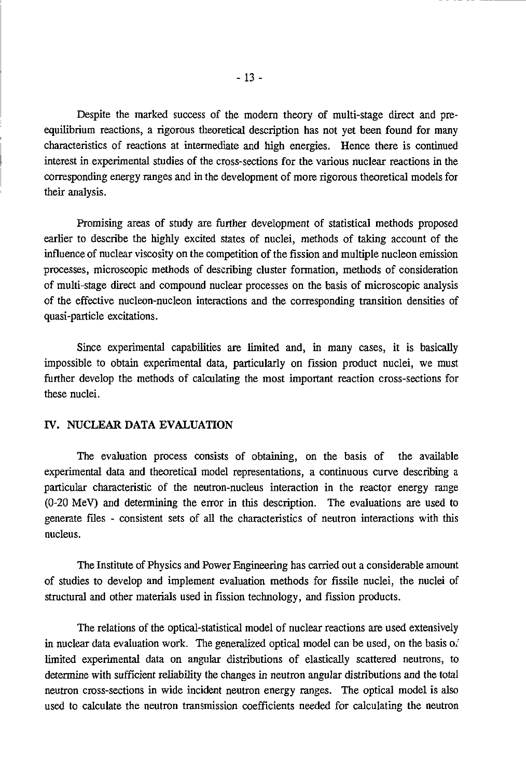Despite the marked success of the modern theory of multi-stage direct and preequilibrium reactions, a rigorous theoretical description has not yet been found for many characteristics of reactions at intermediate and high energies. Hence there is continued interest in experimental studies of the cross-sections for the various nuclear reactions in the corresponding energy ranges and in the development of more rigorous theoretical models for their analysis.

Promising areas of study are further development of statistical methods proposed earlier to describe the highly excited states of nuclei, methods of taking account of the influence of nuclear viscosity on the competition of the fission and multiple nucleon emission processes, microscopic methods of describing cluster formation, methods of consideration of multi-stage direct and compound nuclear processes on the basis of microscopic analysis of the effective nucleon-nucleon interactions and the corresponding transition densities of quasi-particle excitations.

Since experimental capabilities are limited and, in many cases, it is basically impossible to obtain experimental data, particularly on fission product nuclei, we must further develop the methods of calculating the most important reaction cross-sections for these nuclei.

#### **IV. NUCLEAR DATA EVALUATION**

The evaluation process consists of obtaining, on the basis of the available experimental data and theoretical model representations, a continuous curve describing a particular characteristic of the neutron-nucleus interaction in the reactor energy range (0-20 MeV) and determining the error in this description. The evaluations are used to generate files - consistent sets of all the characteristics of neutron interactions with this nucleus.

The Institute of Physics and Power Engineering has carried out a considerable amount of studies to develop and implement evaluation methods for fissile nuclei, the nuclei of structural and other materials used in fission technology, and fission products.

The relations of the optical-statistical model of nuclear reactions are used extensively in nuclear data evaluation work. The generalized optical model can be used, on the basis of limited experimental data on angular distributions of elastically scattered neutrons, to determine with sufficient reliability the changes in neutron angular distributions and the total neutron cross-sections in wide incident neutron energy ranges. The optical model is also used to calculate the neutron transmission coefficients needed for calculating the neutron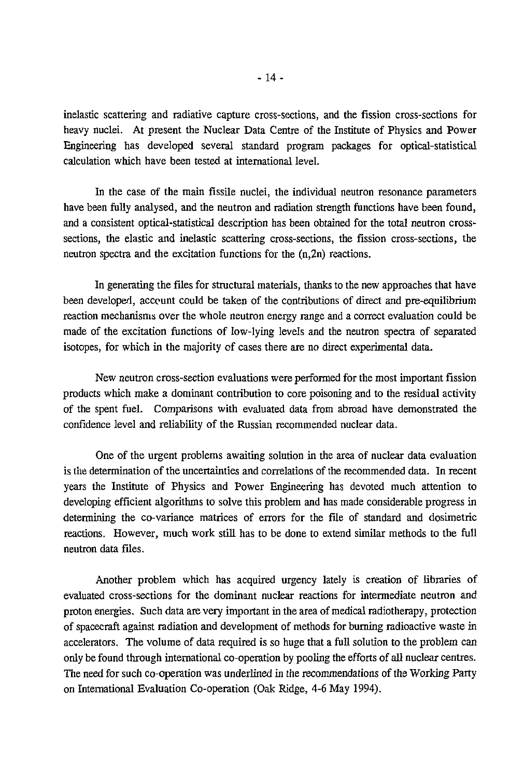inelastic scattering and radiative capture cross-sections, and the fission cross-sections for heavy nuclei. At present the Nuclear Data Centre of the Institute of Physics and Power Engineering has developed several standard program packages for optical-statistical calculation which have been tested at international level.

In the case of the main fissile nuclei, the individual neutron resonance parameters have been fully analysed, and the neutron and radiation strength functions have been found, and a consistent optical-statistical description has been obtained for the total neutron crosssections, the elastic and inelastic scattering cross-sections, the fission cross-sections, the neutron spectra and the excitation functions for the (n,2n) reactions.

In generating the files for structural materials, thanks to the new approaches that have been developed, account could be taken of the contributions of direct and pre-equilibrium reaction mechanisms over the whole neutron energy range and a correct evaluation could be made of the excitation functions of low-lying levels and the neutron spectra of separated isotopes, for which in the majority of cases there are no direct experimental data.

New neutron cross-section evaluations were performed for the most important fission products which make a dominant contribution to core poisoning and to the residual activity of the spent fuel. Comparisons with evaluated data from abroad have demonstrated the confidence level and reliability of the Russian recommended nuclear data.

One of the urgent problems awaiting solution in the area of nuclear data evaluation is the determination of the uncertainties and correlations of the recommended data. In recent years the Institute of Physics and Power Engineering has devoted much attention to developing efficient algorithms to solve this problem and has made considerable progress in determining the co-variance matrices of errors for the file of standard and dosimetric reactions. However, much work still has to be done to extend similar methods to the full neutron data files.

Another problem which has acquired urgency lately is creation of libraries of evaluated cross-sections for the dominant nuclear reactions for intermediate neutron and proton energies. Such data are very important in the area of medical radiotherapy, protection of spacecraft against radiation and development of methods for burning radioactive waste in accelerators. The volume of data required is so huge that a full solution to the problem can only be found through international co-operation by pooling the efforts of all nuclear centres. The need for such co-operation was underlined in the recommendations of the Working Party on International Evaluation Co-operation (Oak Ridge, 4-6 May 1994).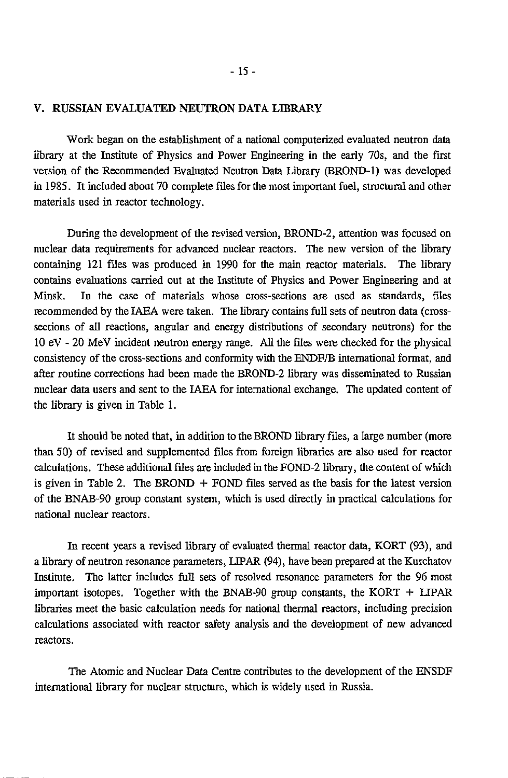#### V. RUSSIAN EVALUATED NEUTRON DATA LIBRARY

Work began on the establishment of a national computerized evaluated neutron data library at the Institute of Physics and Power Engineering in the early 70s, and the first version of the Recommended Evaluated Neutron Data Library (BROND-1) was developed in 1985. It included about 70 complete files for the most important fuel, structural and other materials used in reactor technology.

During the development of the revised version, BROND-2, attention was focused on nuclear data requirements for advanced nuclear reactors. The new version of the library containing 121 files was produced in 1990 for the main reactor materials. The library contains evaluations carried out at the Institute of Physics and Power Engineering and at Minsk. In the case of materials whose cross-sections are used as standards, files recommended by the IAEA were taken. The library contains full sets of neutron data (crosssections of all reactions, angular and energy distributions of secondary neutrons) for the 10 eV - 20 MeV incident neutron energy range. All the files were checked for the physical consistency of the cross-sections and conformity with the ENDF/B international format, and after routine corrections had been made the BROND-2 library was disseminated to Russian nuclear data users and sent to the IAEA for international exchange. The updated content of the library is given in Table 1.

It should be noted that, in addition to the BROND library files, a large number (more than 50) of revised and supplemented files from foreign libraries are also used for reactor calculations. These additional files are included in the FOND-2 library, the content of which is given in Table 2. The BROND  $+$  FOND files served as the basis for the latest version of the BNAB-90 group constant system, which is used directly in practical calculations for national nuclear reactors.

In recent years a revised library of evaluated thermal reactor data, KORT (93), and a library of neutron resonance parameters, LIPAR (94), have been prepared at the Kurchatov Institute. The latter includes full sets of resolved resonance parameters for the 96 most important isotopes. Together with the BNAB-90 group constants, the KORT  $+$  LIPAR libraries meet the basic calculation needs for national thermal reactors, including precision calculations associated with reactor safety analysis and the development of new advanced reactors.

The Atomic and Nuclear Data Centre contributes to the development of the ENSDF international library for nuclear structure, which is widely used in Russia.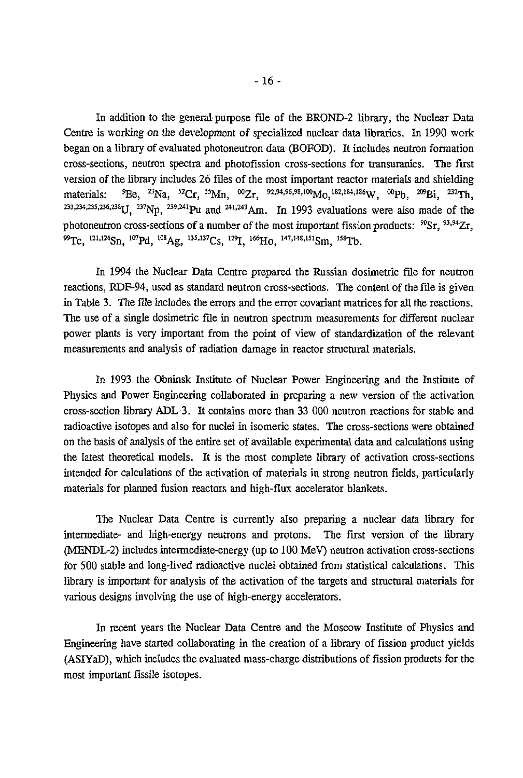In addition to the general-purpose file of the BROND-2 library, the Nuclear Data Centre is working on the development of specialized nuclear data libraries. In 1990 work began on a library of evaluated photoneutron data (BOFOD). It includes neutron formation cross-sections, neutron spectra and photofission cross-sections for transuranics. The first version of the library includes 26 files of the most important reactor materials and shielding materials: <sup>9</sup>Be, <sup>23</sup>Na, <sup>52</sup>Cr, <sup>55</sup>Mn, <sup>∞</sup>Zr, <sup>92,94,96,98,1∞</sup>Mo,<sup>182,184,186</sup>W, <sup>∞</sup>Pb, <sup>209</sup>Bi, <sup>232</sup>Th materials: <sup>9</sup>Be, <sup>23</sup>Na, <sup>52</sup>Cr, <sup>55</sup>Mn, <sup>00</sup>Zr, <sup>92,94,96,98,100</sup>Mo,<sup>182,184,186</sup>W, <sup>00</sup>Pb, <sup>209</sup>Bi, <sup>232</sup>Th, <sup>233</sup>,234,235,236,238</sup>U, <sup>237</sup>Np, <sup>239,241</sup>Pu and <sup>241,243</sup>Am. In 1993 evaluations were also made of the photoneutron cross-sections of a number of the most important fission products: <sup>90</sup>Sr, <sup>93,94</sup>Zr, <sup>99</sup>Tc, <sup>121,126</sup>Sn, <sup>107</sup>Pd, <sup>108</sup>Ag, <sup>135,137</sup>Cs, <sup>129</sup>I, <sup>166</sup>Ho, <sup>147,148,151</sup>Sm, <sup>158</sup>T

In 1994 the Nuclear Data Centre prepared the Russian dosimetric file for neutron reactions, RDF-94, used as standard neutron cross-sections. The content of the file is given in Table 3. The file includes the errors and the error covariant matrices for all the reactions. The use of a single dosimetric file in neutron spectrum measurements for different nuclear power plants is very important from the point of view of standardization of the relevant measurements and analysis of radiation damage in reactor structural materials.

In 1993 the Obninsk Institute of Nuclear Power Engineering and the Institute of Physics and Power Engineering collaborated in preparing a new version of the activation cross-section library ADL-3. It contains more than 33 000 neutron reactions for stable and radioactive isotopes and also for nuclei in isomeric states. The cross-sections were obtained on the basis of analysis of the entire set of available experimental data and calculations using the latest theoretical models. It is the most complete library of activation cross-sections intended for calculations of the activation of materials in strong neutron fields, particularly materials for planned fusion reactors and high-flux accelerator blankets.

The Nuclear Data Centre is currently also preparing a nuclear data library for intermediate- and high-energy neutrons and protons. The first version of the library (MENDL-2) includes intermediate-energy (up to 100 MeV) neutron activation cross-sections for 500 stable and long-lived radioactive nuclei obtained from statistical calculations. This library is important for analysis of the activation of the targets and structural materials for various designs involving the use of high-energy accelerators.

In recent years the Nuclear Data Centre and the Moscow Institute of Physics and Engineering have started collaborating in the creation of a library of fission product yields (ASIYaD), which includes the evaluated mass-charge distributions of fission products for the most important fissile isotopes.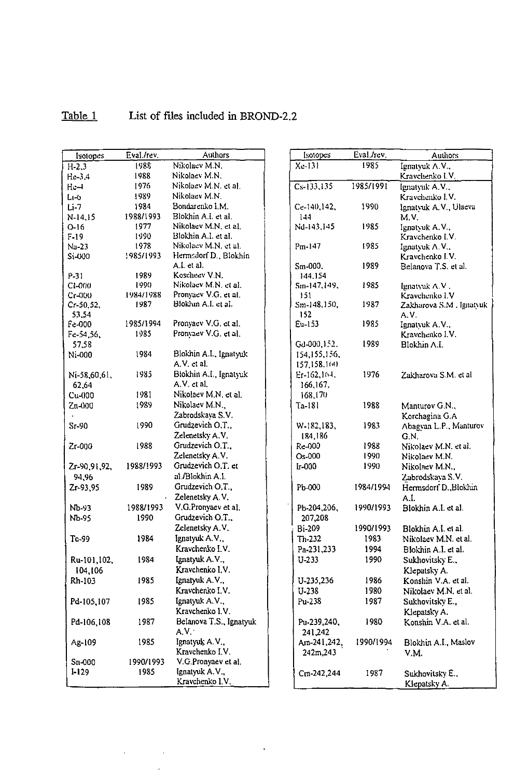Ù,

 $\mathcal{L}^{\text{max}}_{\text{max}}$  , where  $\mathcal{L}^{\text{max}}_{\text{max}}$ 

# Table 1 List of files included in BROND-2.2

| <b>Isotopes</b> | Eval./rev. | <b>Authors</b>          | <b>Isotopes</b> | Eval./rev. | <b>Authors</b>          |
|-----------------|------------|-------------------------|-----------------|------------|-------------------------|
| $H-2,3$         | 1988       | Nikolacv M.N.           | $Xc-131$        | 1985       | Ignatyuk A.V.,          |
| $He-3.4$        | 1988       | Nikolaev M.N.           |                 |            | Kravchenko I V          |
| $He-1$          | 1976       | Nikolaev M.N. et al.    | $Cs-133,135$    | 1985/1991  | Ignatyuk A.V.,          |
| L1-0            | 1989       | Nikolaev M.N.           |                 |            | Kravchenko I.V.         |
| $Li-7$          | 1984       | Bondarenko I.M.         | Ce-140,142,     | 1990       | Ignatyuk A.V., Ulaeva   |
| N-14,15         | 1988/1993  | Blokhin A.I. et al.     | 144             |            | M.V.                    |
| $0 - 16$        | 1977       | Nikolaev M.N. et al.    | Nd-143,145      | 1985       | Ignativk A.V.,          |
| $F-19$          | 1990       | Blokhin A.I. et al.     |                 |            | Kravchenko I.V.         |
| $Na-23$         | 1978       | Nikolaev M.N. et al.    | Pm-147          | 1985       | Ignatyuk A.V.           |
| Si-000          | 1985/1993  | Hermalorf D., Blokhin   |                 |            | Kravchenko I V.         |
|                 |            | A.I. et al.             | Sm-000,         | 1989       | Belanova T.S. et al.    |
| P-31            | 1989       | Koscheev V.N.           | 144.154         |            |                         |
| $C1-000$        | 1990       | Nikolaev M.N. et al.    | Sm-147,149,     | 1985       | Ignatyuk A.V.           |
| Cr-000          | 1984/1988  | Pronyaev V.G. et al.    | 151             |            | Kravchenko I.V          |
| $Cr-50,52,$     | 1987       | Blokhin A.I. et al.     | Sm-148,150,     | 1987       | Zakharova S.M. Ignatyuk |
| 53,54           |            |                         | 152             |            | A.V.                    |
| Fe-000          | 1985/1994  | Pronyacv V.G. et al.    | Eu-153          | 1985       | Ignatvuk A.V.,          |
| Fe-54,56,       | 1985       | Pronyaev V.G. et al.    |                 |            | Kravchenko I.V.         |
| 57,58           |            |                         | Gd-000,152.     | 1989       | Blokhin A.I.            |
| Ni-000          | 1984       | Blokhin A.I., Ignatyuk  | 154,155,156,    |            |                         |
|                 |            | A.V. et al.             | 157,158.160     |            |                         |
| Ni-58,60,61.    | 1985       | Blokhin A.I., Ignatyuk  | $Er-162, 104.$  | 1976       | Zakharova S.M. et al.   |
| 62,64           |            | A.V. et al.             | 166,167.        |            |                         |
| $Cu4$ $00$      | 1981       | Nikolaev M.N. et al.    | 168,170         |            |                         |
| Ζπ (100         | 1989       | Nikolaev M.N.,          | Ta-181          | 1988       | Manturov G.N.,          |
|                 |            | Zabrodskaya S.V.        |                 |            | Korchagina G.A          |
| $Sr-90$         | 1990       | Grudzevich O.T.,        | W-182,183,      | 1983       | Abagyan L.P., Manturov  |
|                 |            | Zelenetsky A.V.         | 184,186         |            | G.N.                    |
| Zr-000          | 1988       | Grudzevich O.T.,        | Re-000          | 1988       | Nikolaev M.N. et al.    |
|                 |            | Zelenetsky A.V.         | Os-000          | 1990       | Nikolaev M.N.           |
| Zr-90,91,92.    | 1988/1993  | Grudzevich O.T. et      | $L-000$         | 1990       | Nikolaev M.N.,          |
| 94,96           |            | al./Blokhin A.I.        |                 |            | Zabrodskava S.V.        |
| Zr-93,95        | 1989       | Grudzevich O.T.         | Pb-000          | 1984/1994  | Hermsdorf D., Blokhin   |
|                 |            | Zelenetsky A.V.         |                 |            | A.I.                    |
| Nb-93           | 1988/1993  | V.G.Pronyaev et al.     | Pb-204,206,     | 1990/1993  | Blokhin A.I. et al.     |
| Nb-95           | 1990       | Grudzevich O.T.,        | 207,208         |            |                         |
|                 |            | Zelenetsky A.V.         | Bi-209          | 1990/1993  | Blokhin A.I. et al.     |
| $Tc-99$         | 1984       | Ignatyuk A.V.           | $Th-232$        | 1983       | Nikolaev M.N. et al.    |
|                 |            | Kravchenko I.V.         | Pa-231,233      | 1994       | Blokhin A.I. et al.     |
|                 | 1984       | Ignatyuk A.V.           | $U-233$         | 1990       |                         |
| Ru-101,102,     |            | Kravchenko I.V.         |                 |            | Sukhovitsky E.,         |
| 104,106         |            |                         |                 |            | Klepatsky A.            |
| Rh-103          | 1985       | Ignatyuk A.V.,          | U-235,236       | 1986       | Konshin V.A. et al.     |
|                 |            | Kravchenko I.V.         | U-238           | 1980       | Nikolaev M.N. et al.    |
| Pd-105,107      | 1985       | Ignatyuk A.V.,          | Pu-238          | 1987       | Sukhovitsky E.,         |
|                 |            | Kravchenko I.V.         |                 |            | Klepatsky A.            |
| Pd-106,108      | 1987       | Belanova T.S., Ignatyuk | Pu-239,240,     | 1980       | Konshin V.A. et al.     |
|                 |            | A.V.                    | 241,242         |            |                         |
| Ag-109          | 1985       | Ignatyuk A.V.,          | Am-241, 242,    | 1990/1994  | Blokhin A.I., Maslov    |
|                 |            | Kravchenko I.V.         | 242m, 243       |            | V.M.                    |
| Sn-000          | 1990/1993  | V.G.Pronyaev et al.     |                 |            |                         |
| $1 - 129$       | 1985       | Ignatyuk A.V.,          | Cm-242,244      | 1987       | Sukhovitsky E.,         |
|                 |            | Kravchenko I.V.         |                 |            | Klepatsky A.            |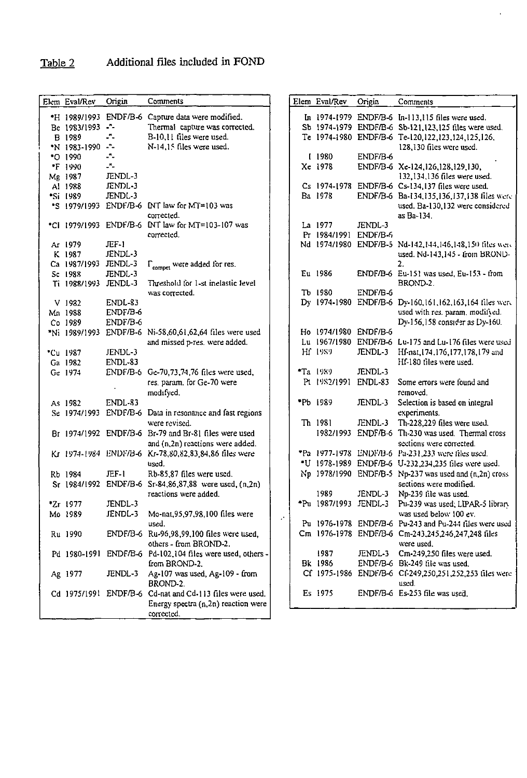# Table 2 Additional files included in FOND

|                  | Origin                       | Comments                                                 |         | Elem Eval/Rev         |          |                                                         |
|------------------|------------------------------|----------------------------------------------------------|---------|-----------------------|----------|---------------------------------------------------------|
| Elem Eval/Rev    |                              |                                                          |         |                       | Origin   | Comments                                                |
|                  |                              | *H 1989/1993 ENDF/B-6 Capture data were modified.        |         |                       |          | In 1974-1979 ENDF/B-6 In-113,115 files were used.       |
| Be 1983/1993 -"- |                              | Thermal capture was corrected.                           |         |                       |          | Sb 1974-1979 ENDF/B-6 Sb-121,123,125 files were used.   |
| <b>B</b> 1989    | -"-                          | B-10,11 files were used.                                 |         |                       |          | Te 1974-1980 ENDF/B-6 Te-120,122,123,124,125,126,       |
| "N 1983-1990 -"- |                              | N-14,15 files were used.                                 |         |                       |          | 128,130 files were used.                                |
| <b>*O</b> 1990   | -1                           |                                                          |         | 1980                  | ENDF/B-6 |                                                         |
| "F 1990          | $\mathcal{L}^{\mathbf{r}}$ . |                                                          |         | Xe 1978               |          | ENDF/B-6 Xe-124,126,128,129,130,                        |
| Mg 1987          | JENDL-3                      |                                                          |         |                       |          | 132,134,136 files were used.                            |
| Al 1988          | JENDL-3                      |                                                          |         |                       |          | Cs 1974-1978 ENDF/B-6 Cs-134,137 files were used.       |
| *Si 1989         | JENDL-3                      |                                                          |         | Ba 1978               |          | ENDF/B-6 Ba-134,135,136,137,138 files were              |
| "S 1979/1993     |                              | ENDF/B-6 INT law for MT=103 was                          |         |                       |          | used. Ba-130,132 were considered                        |
|                  |                              | corrected.                                               |         |                       |          | as Ba-134                                               |
|                  |                              | *Cl 1979/1993 ENDF/B-6 INT law for MT=103-107 was        |         | La 1977               | JENDL-3  |                                                         |
|                  |                              | corrected.                                               |         | Pr 1984/1991 ENDF/B-6 |          |                                                         |
| Ar 1979          | $\Gamma$ F-1                 |                                                          |         |                       |          | Nd 1974/1980 ENDF/B-5 Nd-142,144,146,148,150 files were |
| K 1987           | JENDL-3                      |                                                          |         |                       |          | used. Nd-143,145 - from BROND-                          |
| Ca 1987/1993     | JENDL-3                      | $\Gamma_{\text{compact}}$ were added for res.            |         |                       |          | 2.                                                      |
| Sc 1983          | JENDL-3                      |                                                          |         | Eu 1986               |          | ENDF/B-6 Eu-151 was used, Eu-153 - from                 |
| Ti 1988/1993     | JENDL-3                      | Threshold for 1-st inelastic level                       |         |                       |          | BROND-2.                                                |
|                  |                              | was corrected.                                           |         | Tb 1980               | ENDF/B-6 |                                                         |
| $V$ 1932         | ENDL-83                      |                                                          |         |                       |          | Dy 1974-1980 ENDF/B-6 Dy-160.161,162,163,164 files were |
| Mn 1988          | ENDF/B-6                     |                                                          |         |                       |          | used with res. param. modifyed.                         |
| Co 1989          | ENDF/B-6                     |                                                          |         |                       |          | Dy-156,158 consider as Dy-160.                          |
| *Ni 1989/1993    |                              | ENDF/B-6 Ni-58,60,61,62,64 files were used               |         | Ho 1974/1980 ENDF/B-6 |          |                                                         |
|                  |                              | and missed p-res. were added.                            |         |                       |          | Lu 1967/1980 ENDF/B-6 Lu-175 and Lu-176 files were used |
| "Cu 1987         | JENDL-3                      |                                                          |         | Hf 1989               | JENDL-3  | Hf-nat, 174, 176, 177, 178, 179 and                     |
| Ga 1982          | ENDL-83                      |                                                          |         |                       |          | Hf-180 files were used.                                 |
| Ge 1974          |                              | ENDF/B-6 Ge-70,73,74,76 files were used,                 |         | *Ta 1989              | JENDL-3  |                                                         |
|                  |                              | res. param. for Ge-70 were                               |         | Pt 1982/1991 ENDL-83  |          | Some errors were found and                              |
|                  |                              | modifyed.                                                |         |                       |          | removed.                                                |
| As 1982          | ENDL-83                      |                                                          |         | "Pb 1989              | JENDL-3  | Selection is based on integral                          |
| Se 1974/1993     |                              | ENDF/B-6 Data in resonance and fast regions              |         |                       |          | experiments.                                            |
|                  |                              | were revised.                                            |         | Th 1981               | JENDL-3  | Th-228,229 files were used.                             |
|                  |                              | Br 1974/1992 ENDF/B-6 Br-79 and Br-81 files were used    |         |                       |          | 1982/1993 ENDF/B-6 Th-230 was used. Thermal cross       |
|                  |                              | and (n,2n) reactions were added.                         |         |                       |          | sections were corrected.                                |
|                  |                              | Kr 1974-1984 ENDF/B-6 Kr-78,80,82,83,84,86 files were    |         |                       |          | "Pa 1977-1978 ENDF/B-6 Pa-231, 233 were files used.     |
|                  |                              | used.                                                    |         |                       |          | *U 1978-1989 ENDF/B-6 U-232,234,235 files were used.    |
| Rb 1984          | JEF-1                        | Rb-85,87 files were used.                                |         |                       |          | Np 1978/1990 ENDF/B-5 Np-237 was used and (n,2n) cross  |
|                  |                              | Sr 1984/1992 ENDF/B-6 Sr-84,86,87,88 were used, (n,2n)   |         |                       |          | sections were modified.                                 |
|                  |                              | reactions were added.                                    |         | 1989                  | JENDL-3  | Np-239 file was used.                                   |
| *Zr 1977         | JENDL-3                      |                                                          |         | *Pu 1987/1993 JENDL-3 |          | Pu-239 was used; LIPAR-5 library                        |
| Mo 1989          | JENDL-3                      | Mo-nat, 95, 97, 98, 100 files were                       | $\cdot$ |                       |          | was used below 100 ev.                                  |
|                  |                              | used.                                                    |         |                       |          | Pu 1976-1978 ENDF/B-6 Pu-243 and Pu-244 files were used |
| Ru 1990          |                              | ENDF/B-6 Ru-96,98,99,100 files were used,                |         |                       |          | Cm 1976-1978 ENDF/B-6 Cm-243,245,246,247,248 files      |
|                  |                              | others - from BROND-2.                                   |         |                       |          | were used.                                              |
| Pd 1980-1991     |                              | ENDF/B-6 Pd-102,104 files were used, others -            |         | 1987                  | JENDL-3  | Cm-249,250 files were used.                             |
|                  |                              | from BROND-2.                                            |         | Bk 1986               |          | ENDF/B-6 Bk-249 file was used.                          |
| Ag 1977          | JENDL-3                      | Ag-107 was used, Ag-109 - from                           |         |                       |          | Cf 1975-1986 ENDF/B-6 Cf-249,250,251,252,253 files were |
|                  |                              | BROND-2.                                                 |         |                       |          | used.                                                   |
|                  |                              | Cd 1975/1991 ENDF/B-6 Cd-nat and Cd-113 files were used. |         | Es 1975               |          | ENDF/B-6 Es-253 file was used.                          |
|                  |                              | Energy spectra $(n, 2n)$ reaction were                   |         |                       |          |                                                         |
|                  |                              | corrected.                                               |         |                       |          |                                                         |

 $\ddot{\phantom{0}}$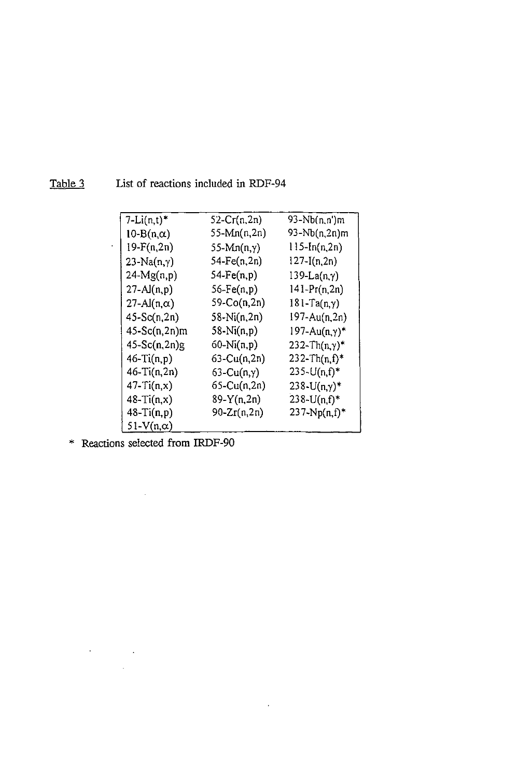| $7-Li(n,t)^*$     | $52 - Cr(n, 2n)$   | 93-Nb(n,n')m            |
|-------------------|--------------------|-------------------------|
| $10-B(n,\alpha)$  | 55-Mn(n,2n)        | 93-Nb(n,2n)m            |
| $19-F(n,2n)$      | $55-Mn(n,y)$       | $115 - In(n, 2n)$       |
| $23-Na(n,y)$      | 54-Fe(n,2n)        | $127 - I(n, 2n)$        |
| $24-Mg(n,p)$      | $54-Fe(n,p)$       | $139-La(n,y)$           |
| $27 - Al(n, p)$   | $56-Fe(n,p)$       | $141 - Pr(n, 2n)$       |
| 27-Al(n,α)        | 59-Co(n,2n)        | $181 - Ta(n, \gamma)$   |
| $45-Sc(n,2n)$     | 58-Ni(n,2n)        | 197-Au(n,2n)            |
| 45-Sc(n,2n)m      | $58-Ni(n,p)$       | $197 - Au(n, \gamma)^*$ |
| $45-Sc(n,2n)g$    | $60-Ni(n,p)$       | $232 - Th(n,y)*$        |
| $46-Ti(n,p)$      | $63$ -Cu $(n, 2n)$ | $232 - Th(n, f)^*$      |
| $46 - Ti(n, 2n)$  | $63$ -Cu $(n,y)$   | $235 - U(n, f)^*$       |
| $47 - Ti(n, x)$   | 65-Cu(n,2n)        | $238 - U(n,y)$ *        |
| $48-Ti(n,x)$      | $89-Y(n,2n)$       | $238 - U(n, f)^*$       |
| $48-Ti(n,p)$      | $90 - Zr(n, 2n)$   | $237 - Np(n, f)^*$      |
| 51- $V(n,\alpha)$ |                    |                         |

 $\mathcal{L}^{\text{max}}$  ,  $\mathcal{L}^{\text{max}}$ 

Table 3 List of reactions included in RDF-94

\* Reactions selected from IRDF-90

 $\mathcal{L}^{\text{max}}_{\text{max}}$  and  $\mathcal{L}^{\text{max}}_{\text{max}}$ 

 $\mathcal{L}^{\mathcal{L}}(\mathcal{L}^{\mathcal{L}})$  and  $\mathcal{L}^{\mathcal{L}}(\mathcal{L}^{\mathcal{L}})$  and  $\mathcal{L}^{\mathcal{L}}(\mathcal{L}^{\mathcal{L}})$  $\label{eq:2.1} \frac{1}{\sqrt{2\pi}}\int_{0}^{\infty}\frac{1}{\sqrt{2\pi}}\left(\frac{1}{\sqrt{2\pi}}\right)^{2}d\mu\,d\mu\,d\mu\,.$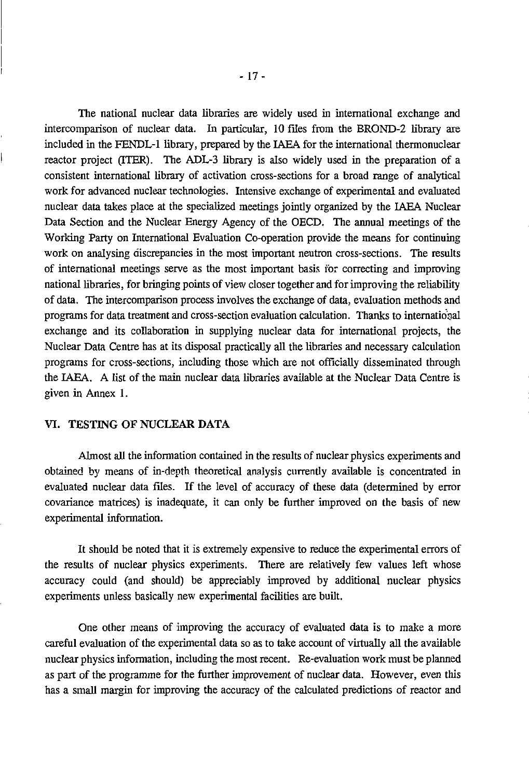The national nuclear data libraries are widely used in international exchange and intercomparison of nuclear data. In particular, 10 files from the BROND-2 library are included in the FENDL-1 library, prepared by the IAEA for the international thermonuclear reactor project (ITER). The ADL-3 library is also widely used in the preparation of a consistent international library of activation cross-sections for a broad range of analytical work for advanced nuclear technologies. Intensive exchange of experimental and evaluated nuclear data takes place at the specialized meetings jointly organized by the IAEA Nuclear Data Section and the Nuclear Energy Agency of the OECD. The annual meetings of the Working Party on International Evaluation Co-operation provide the means for continuing work on analysing discrepancies in the most important neutron cross-sections. The results of international meetings serve as the most important basis for correcting and improving national libraries, for bringing points of view closer together and for improving the reliability of data. The intercomparison process involves the exchange of data, evaluation methods and programs for data treatment and cross-section evaluation calculation. Thanks to international exchange and its collaboration in supplying nuclear data for international projects, the Nuclear Data Centre has at its disposal practically all the libraries and necessary calculation programs for cross-sections, including those which are not officially disseminated through the IAEA. A list of the main nuclear data libraries available at the Nuclear Data Centre is given in Annex 1.

#### VI. TESTING OF NUCLEAR DATA

Almost all the information contained in the results of nuclear physics experiments and obtained by means of in-depth theoretical analysis currently available is concentrated in evaluated nuclear data files. If the level of accuracy of these data (determined by error covariance matrices) is inadequate, it can only be further improved on the basis of new experimental information.

It should be noted that it is extremely expensive to reduce the experimental errors of the results of nuclear physics experiments. There are relatively few values left whose accuracy could (and should) be appreciably improved by additional nuclear physics experiments unless basically new experimental facilities are built.

One other means of improving the accuracy of evaluated data is to make a more careful evaluation of the experimental data so as to take account of virtually all the available nuclear physics information, including the most recent. Re-evaluation work must be planned as part of the programme for the further improvement of nuclear data. However, even this has a small margin for improving the accuracy of the calculated predictions of reactor and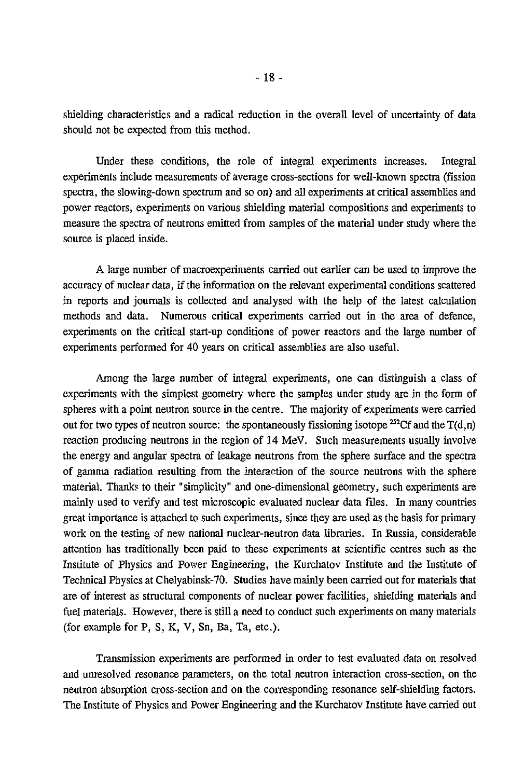shielding characteristics and a radical reduction in the overall level of uncertainty of data should not be expected from this method.

Under these conditions, the role of integral experiments increases. Integral experiments include measurements of average cross-sections for well-known spectra (fission spectra, the slowing-down spectrum and so on) and all experiments at critical assemblies and power reactors, experiments on various shielding material compositions and experiments to measure the spectra of neutrons emitted from samples of the material under study where the source is placed inside.

A large number of macroexperiments carried out earlier can be used to improve the accuracy of nuclear data, if the information on the relevant experimental conditions scattered in reports and journals is collected and analysed with the help of the latest calculation methods and data. Numerous critical experiments carried out in the area of defence, experiments on the critical start-up conditions of power reactors and the large number of experiments performed for 40 years on critical assemblies are also useful.

Among the large number of integral experiments, one can distinguish a class of experiments with the simplest geometry where the samples under study are in the form of spheres with a point neutron source in the centre. The majority of experiments were carried out for two types of neutron source: the spontaneously fissioning isotope <sup>252</sup>Cf and the T(d,n) reaction producing neutrons in the region of 14 MeV. Such measurements usually involve the energy and angular spectra of leakage neutrons from the sphere surface and the spectra of gamma radiation resulting from the interaction of the source neutrons with the sphere material. Thanks to their "simplicity" and one-dimensional geometry, such experiments are mainly used to verify and test microscopic evaluated nuclear data files. In many countries great importance is attached to such experiments, since they are used as the basis for primary work on the testing of new national nuclear-neutron data libraries. In Russia, considerable attention has traditionally been paid to these experiments at scientific centres such as the Institute of Physics and Power Engineering, the Kurchatov Institute and the Institute of Technical Physics at Chelyabinsk-70. Studies have mainly been carried out for materials that are of interest as structural components of nuclear power facilities, shielding materials and fuel materials. However, there is still a need to conduct such experiments on many materials (for example for P, S, K, V, Sn, Ba, Ta, etc.).

Transmission experiments are performed in order to test evaluated data on resolved and unresolved resonance parameters, on the total neutron interaction cross-section, on the neutron absorption cross-section and on the corresponding resonance self-shielding factors. The Institute of Physics and Power Engineering and the Kurchatov Institute have carried out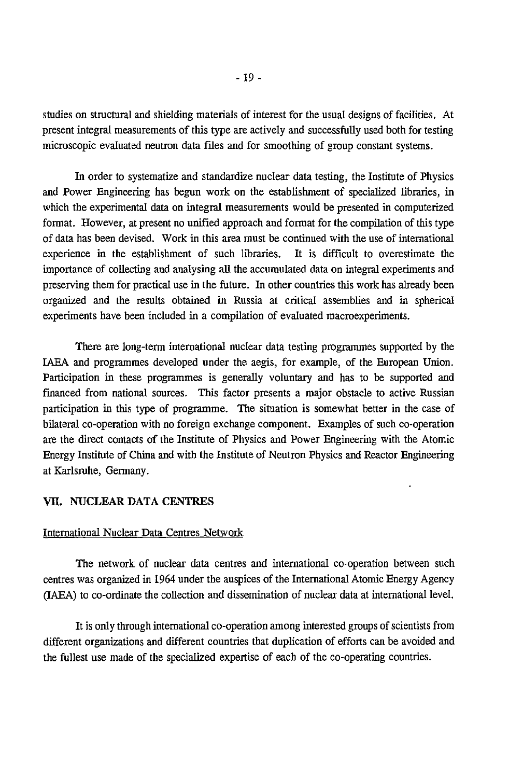studies on structural and shielding materials of interest for the usual designs of facilities. At present integral measurements of this type are actively and successfully used both for testing microscopic evaluated neutron data files and for smoothing of group constant systems.

In order to systematize and standardize nuclear data testing, the Institute of Physics and Power Engineering has begun work on the establishment of specialized libraries, in which the experimental data on integral measurements would be presented in computerized format. However, at present no unified approach and format for the compilation of this type of data has been devised. Work in this area must be continued with the use of international experience in the establishment of such libraries. It is difficult to overestimate the importance of collecting and analysing all the accumulated data on integral experiments and preserving them for practical use in the future. In other countries this work has already been organized and the results obtained in Russia at critical assemblies and in spherical experiments have been included in a compilation of evaluated macroexperiments.

There are long-term international nuclear data testing programmes supported by the IAEA and programmes developed under the aegis, for example, of the European Union. Participation in these programmes is generally voluntary and has to be supported and financed from national sources. This factor presents a major obstacle to active Russian participation in this type of programme. The situation is somewhat better in the case of bilateral co-operation with no foreign exchange component. Examples of such co-operation are the direct contacts of the Institute of Physics and Power Engineering with the Atomic Energy Institute of China and with the Institute of Neutron Physics and Reactor Engineering at Karlsruhe, Germany.

#### VH. NUCLEAR DATA CENTRES

#### International Nuclear Data Centres Network

The network of nuclear data centres and international co-operation between such centres was organized in 1964 under the auspices of the International Atomic Energy Agency (IAEA) to co-ordinate the collection and dissemination of nuclear data at international level.

It is only through international co-operation among interested groups of scientists from different organizations and different countries that duplication of efforts can be avoided and the fullest use made of the specialized expertise of each of the co-operating countries.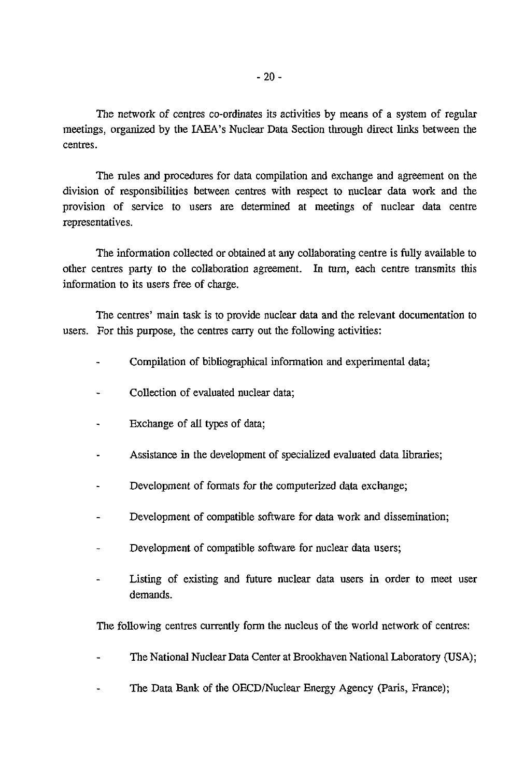The network of centres co-ordinates its activities by means of a system of regular meetings, organized by the IAEA's Nuclear Data Section through direct links between the centres.

The rules and procedures for data compilation and exchange and agreement on the division of responsibilities between centres with respect to nuclear data work and the provision of service to users are determined at meetings of nuclear data centre representatives.

The information collected or obtained at any collaborating centre is fully available to other centres party to the collaboration agreement. In turn, each centre transmits this information to its users free of charge.

The centres' main task is to provide nuclear data and the relevant documentation to users. For this purpose, the centres carry out the following activities:

- Compilation of bibliographical information and experimental data;
- Collection of evaluated nuclear data;
- Exchange of all types of data;
- Assistance in the development of specialized evaluated data libraries;
- Development of formats for the computerized data exchange;
- Development of compatible software for data work and dissemination;
- Development of compatible software for nuclear data users;
- Listing of existing and future nuclear data users in order to meet user demands.

The following centres currently form the nucleus of the world network of centres:

- The National Nuclear Data Center at Brookhaven National Laboratory (USA);
- The Data Bank of the OECD/Nuclear Energy Agency (Paris, France);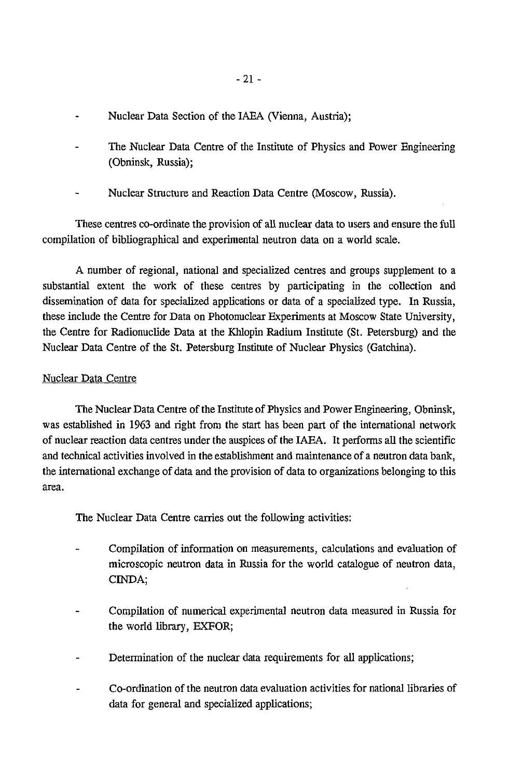- Nuclear Data Section of the IAEA (Vienna, Austria);
- The Nuclear Data Centre of the Institute of Physics and Power Engineering (Obninsk, Russia);
- Nuclear Structure and Reaction Data Centre (Moscow, Russia).

These centres co-ordinate the provision of all nuclear data to users and ensure the full compilation of bibliographical and experimental neutron data on a world scale.

A number of regional, national and specialized centres and groups supplement to a substantial extent the work of these centres by participating in the collection and dissemination of data for specialized applications or data of a specialized type. In Russia, these include the Centre for Data on Photonuclear Experiments at Moscow State University, the Centre for Radionuclide Data at the Khlopin Radium Institute (St. Petersburg) and the Nuclear Data Centre of the St. Petersburg Institute of Nuclear Physics (Gatchina).

# Nuclear Data Centre

The Nuclear Data Centre of the Institute of Physics and Power Engineering, Obninsk, was established in 1963 and right from the start has been part of the international network of nuclear reaction data centres under the auspices of the IAEA. It performs all the scientific and technical activities involved in the establishment and maintenance of a neutron data bank, the international exchange of data and the provision of data to organizations belonging to this area.

The Nuclear Data Centre carries out the following activities:

- Compilation of information on measurements, calculations and evaluation of microscopic neutron data in Russia for the world catalogue of neutron data, CINDA;
- Compilation of numerical experimental neutron data measured in Russia for the world library, EXFOR;
- Determination of the nuclear data requirements for all applications;
- Co-ordination of the neutron data evaluation activities for national libraries of data for general and specialized applications;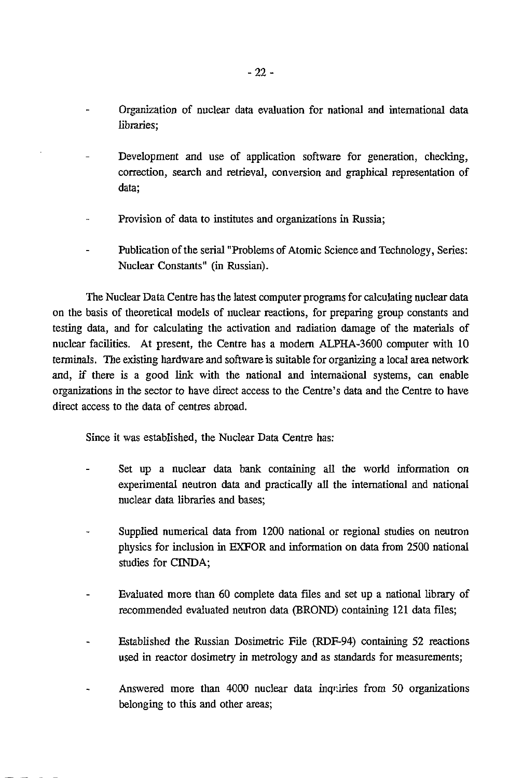- Organization of nuclear data evaluation for national and international data libraries;
- Development and use of application software for generation, checking, correction, search and retrieval, conversion and graphical representation of data;
- Provision of data to institutes and organizations in Russia;
- Publication of the serial "Problems of Atomic Science and Technology, Series: Nuclear Constants" (in Russian).

The Nuclear Data Centre has the latest computer programs for calculating nuclear data on the basis of theoretical models of nuclear reactions, for preparing group constants and testing data, and for calculating the activation and radiation damage of the materials of nuclear facilities. At present, the Centre has a modern ALPHA-3600 computer with 10 terminals. The existing hardware and software is suitable for organizing a local area network and, if there is a good link with the national and international systems, can enable organizations in the sector to have direct access to the Centre's data and the Centre to have direct access to the data of centres abroad.

Since it was established, the Nuclear Data Centre has:

- Set up a nuclear data bank containing all the world information on experimental neutron data and practically all the international and national nuclear data libraries and bases;
- Supplied numerical data from 1200 national or regional studies on neutron physics for inclusion in EXFOR and information on data from 2500 national studies for CINDA;
- Evaluated more than 60 complete data files and set up a national library of recommended evaluated neutron data (BROND) containing 121 data files;
- Established the Russian Dosimetric File (RDF-94) containing 52 reactions used in reactor dosimetry in metrology and as standards for measurements;
- Answered more than 4000 nuclear data inquiries from 50 organizations belonging to this and other areas;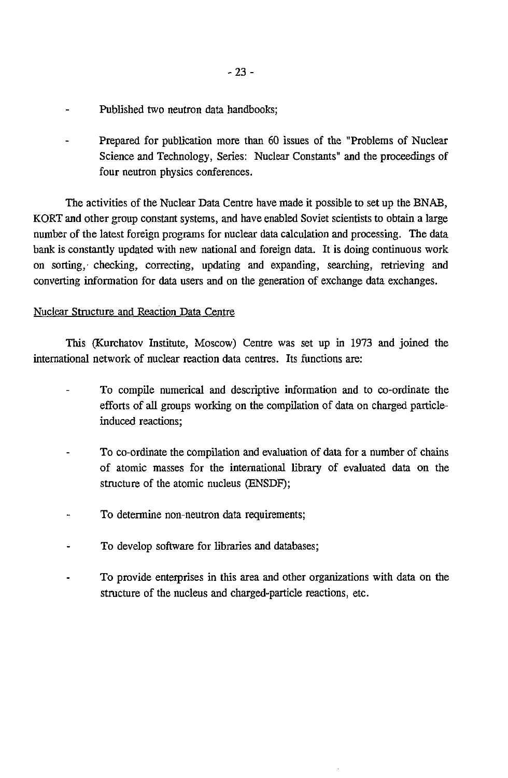- Published two neutron data handbooks;
- Prepared for publication more than 60 issues of the "Problems of Nuclear Science and Technology, Series: Nuclear Constants" and the proceedings of four neutron physics conferences.

The activities of the Nuclear Data Centre have made it possible to set up the BNAB, KORT and other group constant systems, and have enabled Soviet scientists to obtain a large number of the latest foreign programs for nuclear data calculation and processing. The data bank is constantly updated with new national and foreign data. It is doing continuous work on sorting, checking, correcting, updating and expanding, searching, retrieving and converting information for data users and on the generation of exchange data exchanges.

#### Nuclear Structure and Reaction Data Centre

This (Kurchatov Institute, Moscow) Centre was set up in 1973 and joined the international network of nuclear reaction data centres. Its functions are:

- To compile numerical and descriptive information and to co-ordinate the efforts of all groups working on the compilation of data on charged particleinduced reactions;
- To co-ordinate the compilation and evaluation of data for a number of chains of atomic masses for the international library of evaluated data on the structure of the atomic nucleus (ENSDF);
- To determine non-neutron data requirements;
- To develop software for libraries and databases;
- To provide enterprises in this area and other organizations with data on the structure of the nucleus and charged-particle reactions, etc.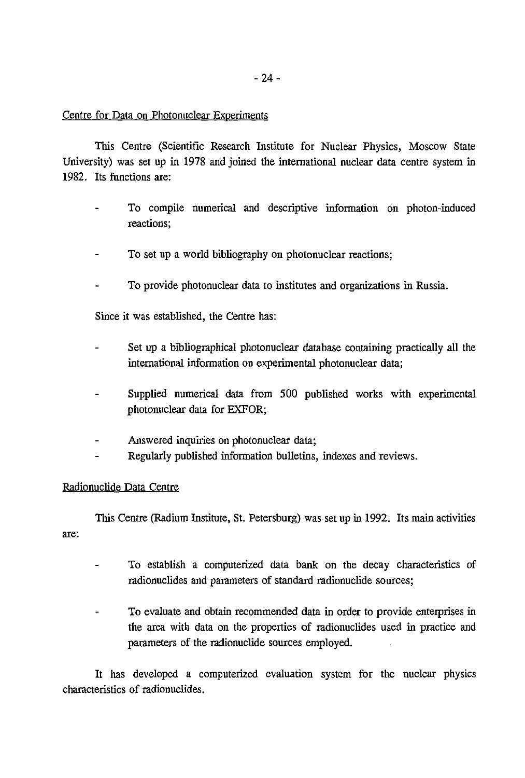#### Centre for Data on Photonuclear Experiments

This Centre (Scientific Research Institute for Nuclear Physics, Moscow State University) was set up in 1978 and joined the international nuclear data centre system in 1982. Its functions are:

- To compile numerical and descriptive information on photon-induced reactions;
- To set up a world bibliography on photonuclear reactions;
- To provide photonuclear data to institutes and organizations in Russia.

Since it was established, the Centre has:

- Set up a bibliographical photonuclear database containing practically all the international information on experimental photonuclear data;
- Supplied numerical data from 500 published works with experimental photonuclear data for EXFOR;
- Answered inquiries on photonuclear data;
- Regularly published information bulletins, indexes and reviews.

#### Radionuclide Data Centre

This Centre (Radium Institute, St. Petersburg) was set up in 1992. Its main activities are:

- To establish a computerized data bank on the decay characteristics of radionuclides and parameters of standard radionuclide sources;
- To evaluate and obtain recommended data in order to provide enterprises in the area with data on the properties of radionuclides used in practice and parameters of the radionuclide sources employed.

It has developed a computerized evaluation system for the nuclear physics characteristics of radionuclides.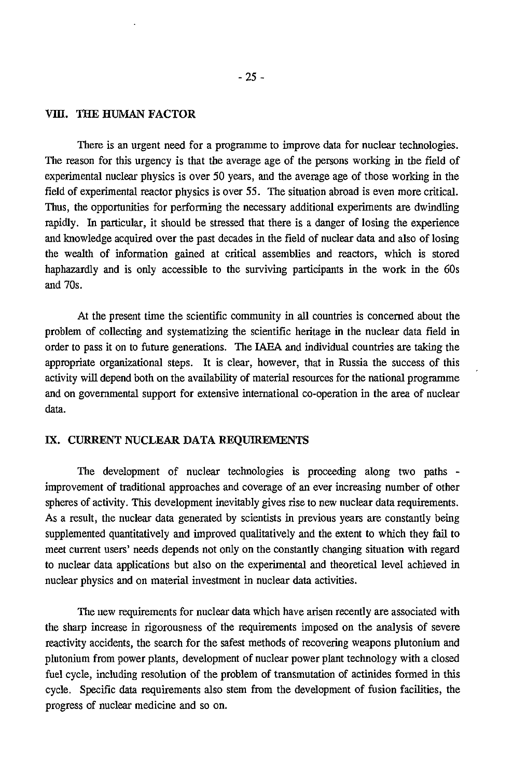#### VIII. THE HUMAN FACTOR

There is an urgent need for a programme to improve data for nuclear technologies. The reason for this urgency is that the average age of the persons working in the field of experimental nuclear physics is over 50 years, and the average age of those working in the field of experimental reactor physics is over 55. The situation abroad is even more critical. Thus, the opportunities for performing the necessary additional experiments are dwindling rapidly. In particular, it should be stressed that there is a danger of losing the experience and knowledge acquired over the past decades in the field of nuclear data and also of losing the wealth of information gained at critical assemblies and reactors, which is stored haphazardly and is only accessible to the surviving participants in the work in the 60s and 70s.

At the present time the scientific community in all countries is concerned about the problem of collecting and systematizing the scientific heritage in the nuclear data field in order to pass it on to future generations. The IAEA and individual countries are taking the appropriate organizational steps. It is clear, however, that in Russia the success of this activity will depend both on the availability of material resources for the national programme and on governmental support for extensive international co-operation in the area of nuclear data.

#### EX. CURRENT NUCLEAR DATA EEQUIREMENTS

The development of nuclear technologies is proceeding along two paths improvement of traditional approaches and coverage of an ever increasing number of other spheres of activity. This development inevitably gives rise to new nuclear data requirements. As a result, the nuclear data generated by scientists in previous years are constantly being supplemented quantitatively and improved qualitatively and the extent to which they fail to meet current users' needs depends not only on the constantly changing situation with regard to nuclear data applications but also on the experimental and theoretical level achieved in nuclear physics and on material investment in nuclear data activities.

The new requirements for nuclear data which have arisen recently are associated with the sharp increase in rigorousness of the requirements imposed on the analysis of severe reactivity accidents, the search for the safest methods of recovering weapons plutonium and plutonium from power plants, development of nuclear power plant technology with a closed fuel cycle, including resolution of the problem of transmutation of actinides formed in this cycle. Specific data requirements also stem from the development of fusion facilities, the progress of nuclear medicine and so on.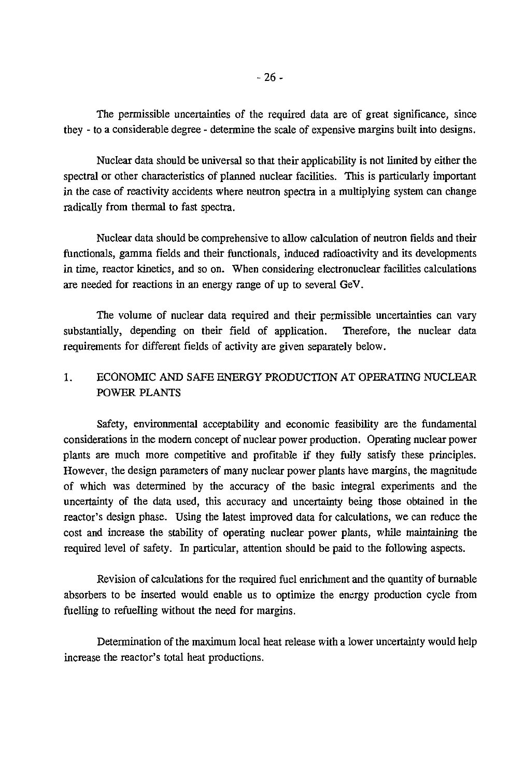The permissible uncertainties of the required data are of great significance, since they - to a considerable degree - determine the scale of expensive margins built into designs.

Nuclear data should be universal so that their applicability is not limited by either the spectral or other characteristics of planned nuclear facilities. This is particularly important in the case of reactivity accidents where neutron spectra in a multiplying system can change radically from thermal to fast spectra.

Nuclear data should be comprehensive to allow calculation of neutron fields and their functionals, gamma fields and their functionals, induced radioactivity and its developments in time, reactor kinetics, and so on. When considering electronuclear facilities calculations are needed for reactions in an energy range of up to several GeV.

The volume of nuclear data required and their permissible uncertainties can vary substantially, depending on their field of application. Therefore, the nuclear data requirements for different fields of activity are given separately below.

# 1. ECONOMIC AND SAFE ENERGY PRODUCTION AT OPERATING NUCLEAR POWER PLANTS

Safety, environmental acceptability and economic feasibility are the fundamental considerations in the modern concept of nuclear power production. Operating nuclear power plants are much more competitive and profitable if they fully satisfy these principles. However, the design parameters of many nuclear power plants have margins, the magnitude of which was determined by the accuracy of the basic integral experiments and the uncertainty of the data used, this accuracy and uncertainty being those obtained in the reactor's design phase. Using the latest improved data for calculations, we can reduce the cost and increase the stability of operating nuclear power plants, while maintaining the required level of safety. In particular, attention should be paid to the following aspects.

Revision of calculations for the required fuel enrichment and the quantity of burnable absorbers to be inserted would enable us to optimize the energy production cycle from fuelling to refuelling without the need for margins.

Determination of the maximum local heat release with a lower uncertainty would help increase the reactor's total heat productions.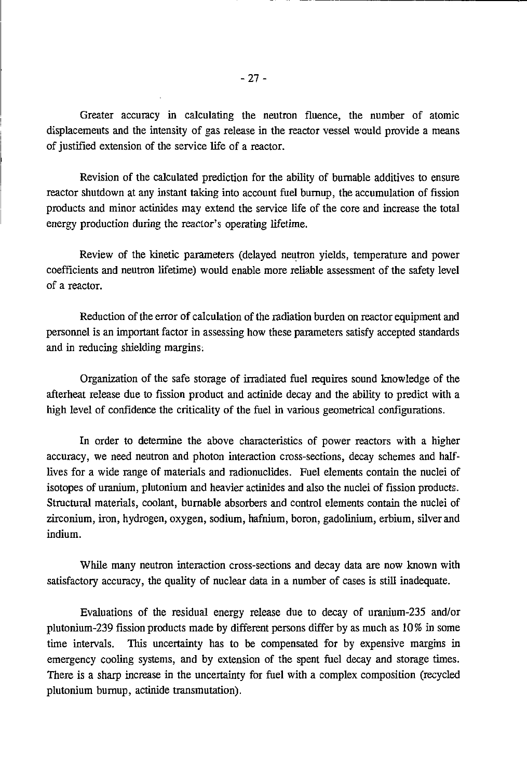Greater accuracy in calculating the neutron fluence, the number of atomic displacements and the intensity of gas release in the reactor vessel would provide a means of justified extension of the service life of a reactor.

Revision of the calculated prediction for the ability of burnable additives to ensure reactor shutdown at any instant taking into account fuel burnup, the accumulation of fission products and minor actinides may extend the service life of the core and increase the total energy production during the reactor's operating lifetime.

Review of the kinetic parameters (delayed neutron yields, temperature and power coefficients and neutron lifetime) would enable more reliable assessment of the safety level of a reactor.

Reduction of the error of calculation of the radiation burden on reactor equipment and personnel is an important factor in assessing how these parameters satisfy accepted standards and in reducing shielding margins:

Organization of the safe storage of irradiated fuel requires sound knowledge of the afterheat release due to fission product and actinide decay and the ability to predict with a high level of confidence the criticality of the fuel in various geometrical configurations.

In order to determine the above characteristics of power reactors with a higher accuracy, we need neutron and photon interaction cross-sections, decay schemes and halflives for a wide range of materials and radionuclides. Fuel elements contain the nuclei of isotopes of uranium, plutonium and heavier actinides and also the nuclei of fission products. Structural materials, coolant, burnable absorbers and control elements contain the nuclei of zirconium, iron, hydrogen, oxygen, sodium, hafnium, boron, gadolinium, erbium, silver and indium.

While many neutron interaction cross-sections and decay data are now known with satisfactory accuracy, the quality of nuclear data in a number of cases is still inadequate.

Evaluations of the residual energy release due to decay of uranium-235 and/or plutonium-239 fission products made by different persons differ by as much as 10% in some time intervals. This uncertainty has to be compensated for by expensive margins in emergency cooling systems, and by extension of the spent fuel decay and storage times. There is a sharp increase in the uncertainty for fuel with a complex composition (recycled plutonium burnup, actinide transmutation).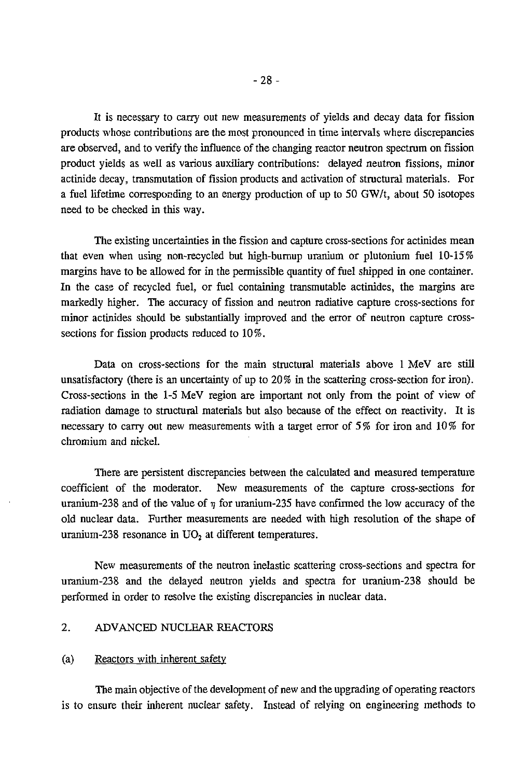It is necessary to carry out new measurements of yields and decay data for fission products whose contributions are the most pronounced in time intervals where discrepancies are observed, and to verify the influence of the changing reactor neutron spectrum on fission product yields as well as various auxiliary contributions: delayed neutron fissions, minor actinide decay, transmutation of fission products and activation of structural materials. For a fuel lifetime corresponding to an energy production of up to 50 GW/t, about 50 isotopes need to be checked in this way.

The existing uncertainties in the fission and capture cross-sections for actinides mean that even when using non-recycled but high-burnup uranium or plutonium fuel 10-15 % margins have to be allowed for in the permissible quantity of fuel shipped in one container. In the case of recycled fuel, or fuel containing transmutable actinides, the margins are markedly higher. The accuracy of fission and neutron radiative capture cross-sections for minor actinides should be substantially improved and the error of neutron capture crosssections for fission products reduced to 10%.

Data on cross-sections for the main structural materials above 1 MeV are still unsatisfactory (there is an uncertainty of up to 20% in the scattering cross-section for iron). Cross-sections in the 1-5 MeV region are important not only from the point of view of radiation damage to structural materials but also because of the effect on reactivity. It is necessary to carry out new measurements with a target error of *5%* for iron and 10% for chromium and nickel.

There are persistent discrepancies between the calculated and measured temperature coefficient of the moderator. New measurements of the capture cross-sections for uranium-238 and of the value of  $\eta$  for uranium-235 have confirmed the low accuracy of the old nuclear data. Further measurements are needed with high resolution of the shape of uranium-238 resonance in  $UO<sub>2</sub>$  at different temperatures.

New measurements of the neutron inelastic scattering cross-sections and spectra for uranium-238 and the delayed neutron yields and spectra for uranium-238 should be performed in order to resolve the existing discrepancies in nuclear data.

# 2. ADVANCED NUCLEAR REACTORS

#### (a) Reactors with inherent safety

The main objective of the development of new and the upgrading of operating reactors is to ensure their inherent nuclear safety. Instead of relying on engineering methods to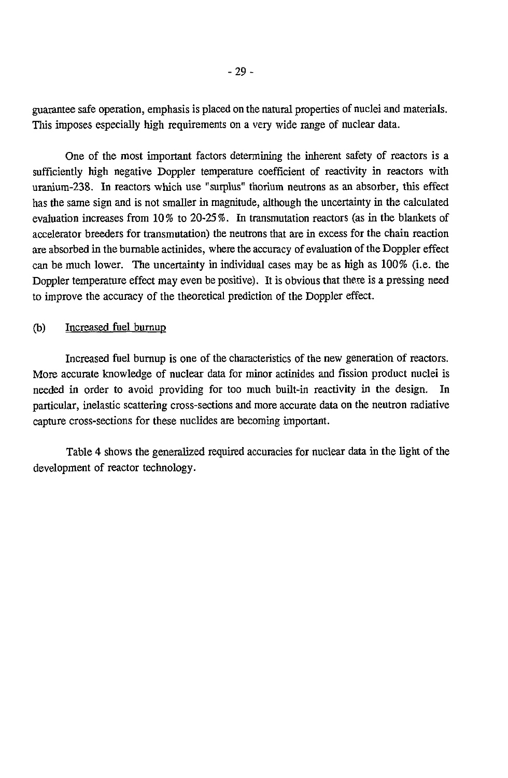guarantee safe operation, emphasis is placed on the natural properties of nuclei and materials. This imposes especially high requirements on a very wide range of nuclear data.

One of the most important factors determining the inherent safety of reactors is a sufficiently high negative Doppler temperature coefficient of reactivity in reactors with uranium-238. In reactors which use "surplus" thorium neutrons as an absorber, this effect has the same sign and is not smaller in magnitude, although the uncertainty in the calculated evaluation increases from 10% to 20-25%. In transmutation reactors (as in the blankets of accelerator breeders for transmutation) the neutrons that are in excess for the chain reaction are absorbed in the burnable actinides, where the accuracy of evaluation of the Doppler effect can be much lower. The uncertainty in individual cases may be as high as 100% (i.e. the Doppler temperature effect may even be positive). It is obvious that there is a pressing need to improve the accuracy of the theoretical prediction of the Doppler effect.

#### (b) Increased fuel burnup

Increased fuel burnup is one of the characteristics of the new generation of reactors. More accurate knowledge of nuclear data for minor actinides and fission product nuclei is needed in order to avoid providing for too much built-in reactivity in the design. In particular, inelastic scattering cross-sections and more accurate data on the neutron radiative capture cross-sections for these nuclides are becoming important.

Table 4 shows the generalized required accuracies for nuclear data in the light of the development of reactor technology.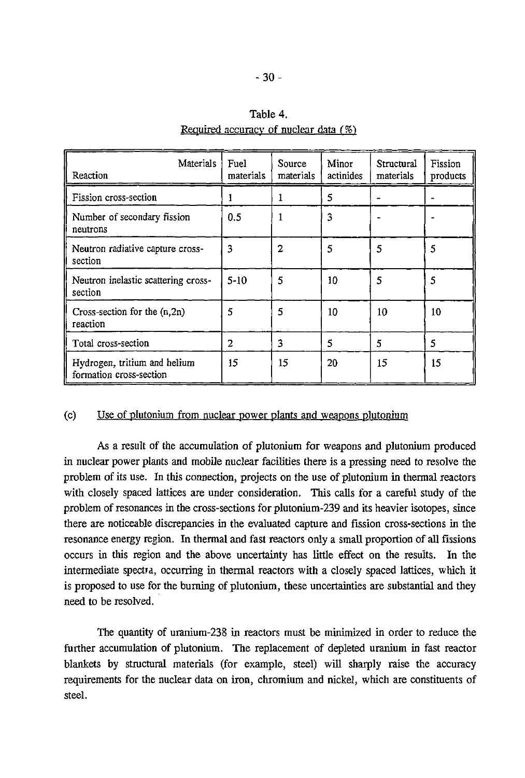## Table 4.

| Materials<br>Reaction                                   | Fuel<br>materials | Source<br>materials | Minor<br>actinides | Structural<br>materials | Fission<br>products |
|---------------------------------------------------------|-------------------|---------------------|--------------------|-------------------------|---------------------|
| Fission cross-section                                   | 1                 |                     | 5                  |                         |                     |
| Number of secondary fission<br>neutrons                 | 0.5               |                     | 3                  |                         |                     |
| Neutron radiative capture cross-<br>section             | 3                 | $\overline{2}$      | 5                  | 5                       | 5                   |
| Neutron inelastic scattering cross-<br>section          | $5 - 10$          | 5                   | 10                 | 5                       | 5                   |
| Cross-section for the $(n, 2n)$<br>reaction             | 5                 | 5                   | 10                 | 10                      | 10                  |
| Total cross-section                                     | 2                 | 3                   | 5                  | 5                       | 5                   |
| Hydrogen, tritium and helium<br>formation cross-section | 15                | 15                  | 20                 | 15                      | 15                  |

# Required accuracy of nuclear data *(%)*

# (c) Use of plutonium from nuclear power plants and weapons plutonium

As a result of the accumulation of plutonium for weapons and plutonium produced in nuclear power plants and mobile nuclear facilities there is a pressing need to resolve the problem of its use. In this connection, projects on the use of plutonium in thermal reactors with closely spaced lattices are under consideration. This calls for a careful study of the problem of resonances in the cross-sections for plutonium-239 and its heavier isotopes, since there are noticeable discrepancies in the evaluated capture and fission cross-sections in the resonance energy region. In thermal and fast reactors only a small proportion of all fissions occurs in this region and the above uncertainty has little effect on the results. In the intermediate spectra, occurring in thermal reactors with a closely spaced lattices, which it is proposed to use for the burning of plutonium, these uncertainties are substantial and they need to be resolved.

The quantity of uranium-238 in reactors must be minimized in order to reduce the further accumulation of plutonium. The replacement of depleted uranium in fast reactor blankets by structural materials (for example, steel) will sharply raise the accuracy requirements for the nuclear data on iron, chromium and nickel, which are constituents of steel.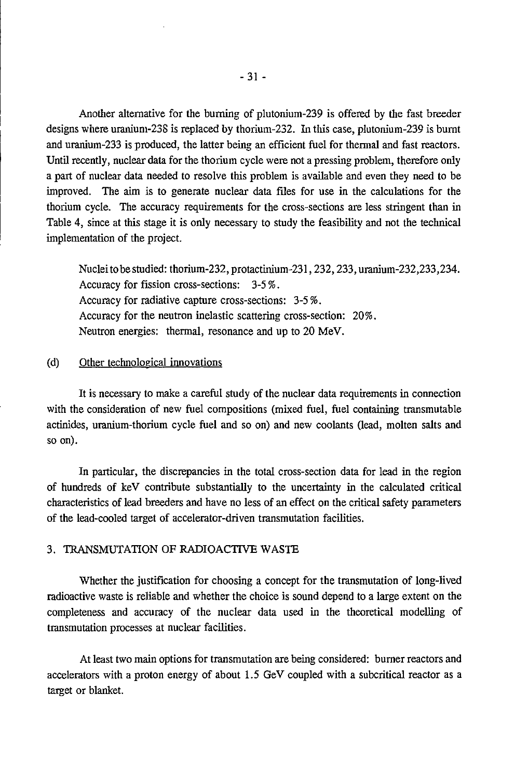Another alternative for the burning of plutonium-239 is offered by the fast breeder designs where uranium-238 is replaced by thorium-232. In this case, plutonium-239 is burnt and uranium-233 is produced, the latter being an efficient fuel for thermal and fast reactors. Until recently, nuclear data for the thorium cycle were not a pressing problem, therefore only a part of nuclear data needed to resolve this problem is available and even they need to be improved. The aim is to generate nuclear data files for use in the calculations for the thorium cycle. The accuracy requirements for the cross-sections are less stringent than in Table 4, since at this stage it is only necessary to study the feasibility and not the technical implementation of the project.

Nuclei to be studied: thorium-232, protactinium-231,232,233,uranium-232,233,234. Accuracy for fission cross-sections: 3-5%. Accuracy for radiative capture cross-sections: *3-5%.* Accuracy for the neutron inelastic scattering cross-section: 20%. Neutron energies: thermal, resonance and up to 20 MeV.

#### (d) Other technological innovations

It is necessary to make a careful study of the nuclear data requirements in connection with the consideration of new fuel compositions (mixed fuel, fuel containing transmutable actinides, uranium-thorium cycle fuel and so on) and new coolants (lead, molten salts and so on).

In particular, the discrepancies in the total cross-section data for lead in the region of hundreds of keV contribute substantially to the uncertainty in the calculated critical characteristics of lead breeders and have no less of an effect on the critical safety parameters of the lead-cooled target of accelerator-driven transmutation facilities.

#### 3. TRANSMUTATION OF RADIOACTIVE WASTE

Whether the justification for choosing a concept for the transmutation of long-lived radioactive waste is reliable and whether the choice is sound depend to a large extent on the completeness and accuracy of the nuclear data used in the theoretical modelling of transmutation processes at nuclear facilities.

At least two main options for transmutation are being considered: burner reactors and accelerators with a proton energy of about 1.5 GeV coupled with a subcritical reactor as a target or blanket.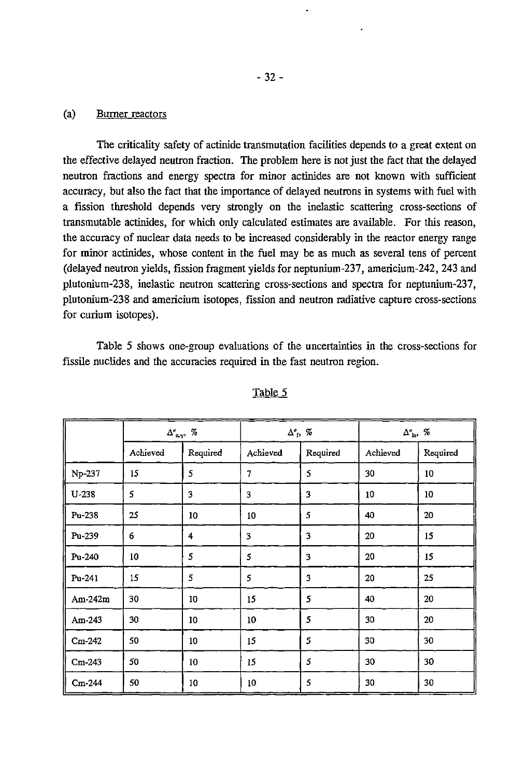#### (a) Burner reactors

The criticality safety of actinide transmutation facilities depends to a great extent on the effective delayed neutron fraction. The problem here is not just the fact that the delayed neutron fractions and energy spectra for minor actinides are not known with sufficient accuracy, but also the fact that the importance of delayed neutrons in systems with fuel with a fission threshold depends very strongly on the inelastic scattering cross-sections of transmutable actinides, for which only calculated estimates are available. For this reason, the accuracy of nuclear data needs to be increased considerably in the reactor energy range for minor actinides, whose content in the fuel may be as much as several tens of percent (delayed neutron yields, fission fragment yields for neptunium-237, americium-242, 243 and plutonium-238, inelastic neutron scattering cross-sections and spectra for neptunium-237, plutonium-238 and americium isotopes, fission and neutron radiative capture cross-sections for curium isotopes).

Table 5 shows one-group evaluations of the uncertainties in the cross-sections for fissile nuclides and the accuracies required in the fast neutron region.

|           |          | $\Delta^{\sigma}_{\ \mathbf{n},\gamma},\ \mathcal{U}$ |          | $\Delta^{\circ}$ f, % | $\Delta^{\circ}_{\text{ in}}, \ \%$ |          |
|-----------|----------|-------------------------------------------------------|----------|-----------------------|-------------------------------------|----------|
|           | Achieved | Required                                              | Achieved | Required              | Achieved                            | Required |
| Np-237    | 15       | 5                                                     | 7        | 5                     | 30                                  | 10       |
| $U-238$   | 5        | 3                                                     | 3        | 3                     | 10                                  | 10       |
| Pu-238    | 25       | 10 <sub>10</sub>                                      | 10       | 5                     | 40                                  | 20       |
| Pu-239    | 6        | 4                                                     | 3        | 3                     | 20                                  | 15       |
| Pu-240    | 10       | 5                                                     | 5        | 3                     | 20                                  | 15       |
| Pu-241    | 15       | 5                                                     | 5        | 3                     | 20                                  | 25       |
| $Am-242m$ | 30       | 10 <sub>1</sub>                                       | 15       | 5                     | 40                                  | 20       |
| Am-243    | 30       | 10                                                    | 10       | 5                     | 30                                  | 20       |
| $Cm-242$  | 50       | 10                                                    | 15       | 5                     | 30                                  | 30       |
| $Cm-243$  | 50       | 10                                                    | 15       | 5                     | 30                                  | 30       |
| $Cm-244$  | 50       | 10                                                    | 10       | 5                     | 30                                  | 30       |

#### Table 5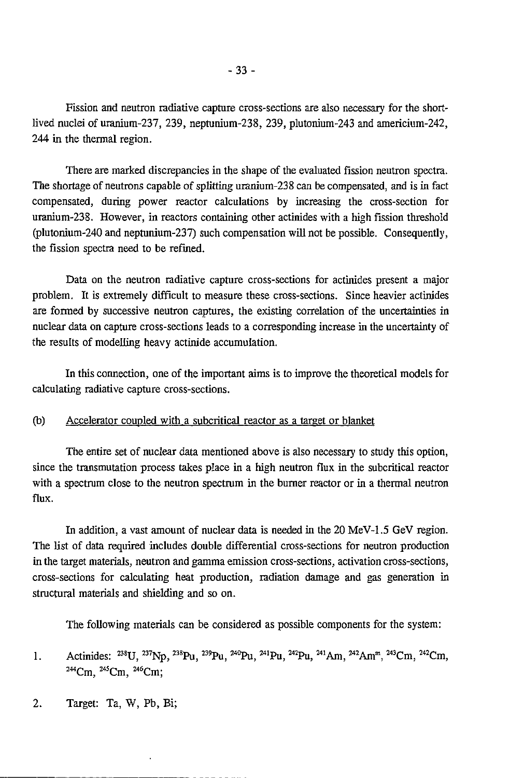Fission and neutron radiative capture cross-sections are also necessary for the shortlived nuclei of uranium-237, 239, neptunium-238, 239, plutonium-243 and americium-242, 244 in the thermal region.

There are marked discrepancies in the shape of the evaluated fission neutron spectra. The shortage of neutrons capable of splitting uranium-238 can be compensated, and is in fact compensated, during power reactor calculations by increasing the cross-section for uranium-238. However, in reactors containing other actinides with a high fission threshold (plutonium-240 and neptunium-237) such compensation will not be possible. Consequently, the fission spectra need to be refined.

Data on the neutron radiative capture cross-sections for actinides present a major problem. It is extremely difficult to measure these cross-sections. Since heavier actinides are formed by successive neutron captures, the existing correlation of the uncertainties in nuclear data on capture cross-sections leads to a corresponding increase in the uncertainty of the results of modelling heavy actinide accumulation.

In this connection, one of the important aims is to improve the theoretical models for calculating radiative capture cross-sections.

#### (b) Accelerator coupled with a subcritical reactor as a target or blanket

The entire set of nuclear data mentioned above is also necessary to study this option, since the transmutation process takes place in a high neutron flux in the subcritical reactor with a spectrum close to the neutron spectrum in the burner reactor or in a thermal neutron flux.

In addition, a vast amount of nuclear data is needed in the 20 MeV-1.5 GeV region. The list of data required includes double differential cross-sections for neutron production in the target materials, neutron and gamma emission cross-sections, activation cross-sections, cross-sections for calculating heat production, radiation damage and gas generation in structural materials and shielding and so on.

The following materials can be considered as possible components for the system:

- 1. Actinides: <sup>238</sup>U, <sup>237</sup>Np, <sup>238</sup>Pu, <sup>239</sup>Pu, <sup>240</sup>Pu, <sup>241</sup>Pu, <sup>242</sup>Pu, <sup>241</sup>Am, <sup>242</sup>Am<sup>m</sup>, <sup>243</sup>Cm, <sup>242</sup>Cn <sup>244</sup>Cm, <sup>245</sup>Cm, <sup>246</sup>Cm;
- 2. Target: Ta, W, Pb, Bi;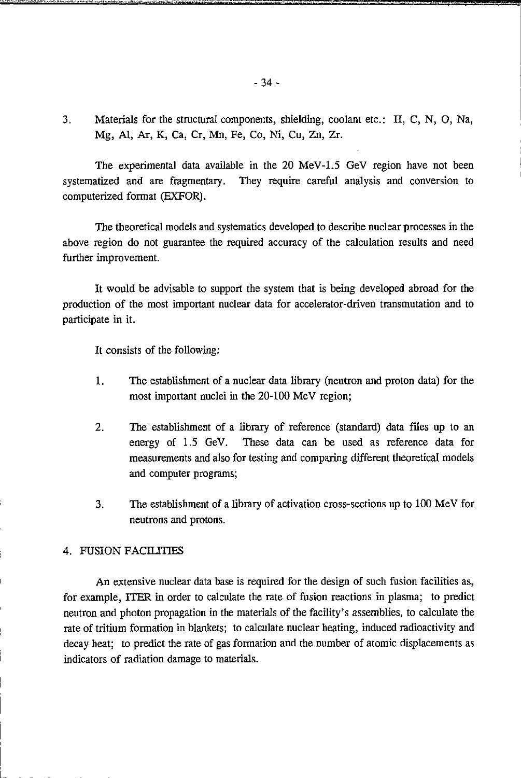3. Materials for the structural components, shielding, coolant etc.: H, C, N, O, Na, Mg, AI, Ar, K, Ca, Cr, Mn, Fe, Co, Ni, Cu, Zn, Zr.

The experimental data available in the 20 MeV-1.5 GeV region have not been systematized and are fragmentary. They require careful analysis and conversion to computerized format (EXFOR).

The theoretical models and systematics developed to describe nuclear processes in the above region do not guarantee the required accuracy of the calculation results and need further improvement.

It would be advisable to support the system that is being developed abroad for the production of the most important nuclear data for accelerator-driven transmutation and to participate in it.

It consists of the following:

- 1. The establishment of a nuclear data library (neutron and proton data) for the most important nuclei in the 20-100 MeV region;
- 2. The establishment of a library of reference (standard) data files up to an energy of 1.5 GeV. These data can be used as reference data for measurements and also for testing and comparing different theoretical models and computer programs;
- 3. The establishment of a library of activation cross-sections up to 100 MeV for neutrons and protons.

#### 4. FUSION FACILITIES

An extensive nuclear data base is required for the design of such fusion facilities as, for example, ITER in order to calculate the rate of fusion reactions in plasma; to predict neutron and photon propagation in the materials of the facility's assemblies, to calculate the rate of tritium formation in blankets; to calculate nuclear heating, induced radioactivity and decay heat; to predict the rate of gas formation and the number of atomic displacements as indicators of radiation damage to materials.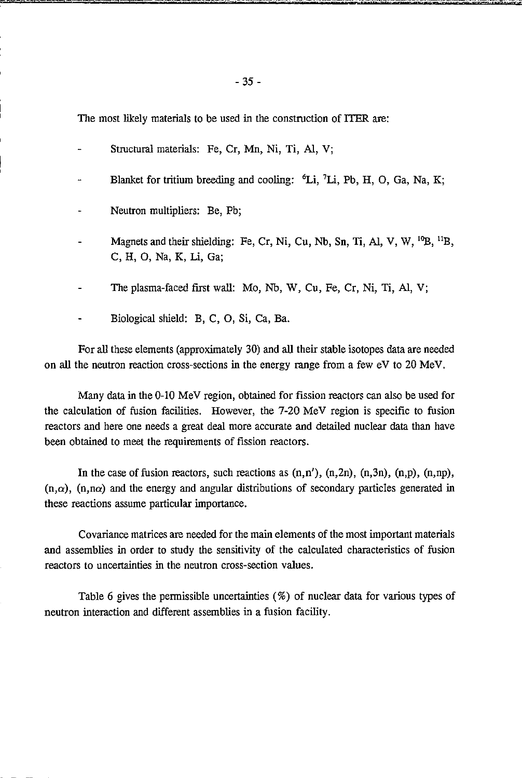The most likely materials to be used in the construction of ITER are:

- Structural materials: Fe, Cr, Mn, Ni, Ti, Al, V;
- Blanket for tritium breeding and cooling: <sup>6</sup>Li, <sup>7</sup>Li, Pb, H, O, Ga, Na, K
- Neutron multipliers: Be, Pb;
- Magnets and their shielding: Fe, Cr, Ni, Cu, Nb, Sn, Ti, Al, V, W, <sup>10</sup>B, <sup>11</sup>B, C, H, O, Na, K, Li, Ga;
- The plasma-faced first wall: Mo, Nb, W, Cu, Fe, Cr, Ni, Ti, Al, V;
- Biological shield: B, C, O, Si, Ca, Ba.

For all these elements (approximately 30) and all their stable isotopes data are needed on all the neutron reaction cross-sections in the energy range from a few eV to 20 MeV.

Many data in the 0-10 MeV region, obtained for fission reactors can also be used for the calculation of fusion facilities. However, the 7-20 MeV region is specific to fusion reactors and here one needs a great deal more accurate and detailed nuclear data than have been obtained to meet the requirements of fission reactors.

In the case of fusion reactors, such reactions as  $(n, n')$ ,  $(n, 2n)$ ,  $(n, 3n)$ ,  $(n, p)$ ,  $(n, np)$ ,  $(n,\alpha)$ ,  $(n,n\alpha)$  and the energy and angular distributions of secondary particles generated in these reactions assume particular importance.

Covariance matrices are needed for the main elements of the most important materials and assemblies in order to study the sensitivity of the calculated characteristics of fusion reactors to uncertainties in the neutron cross-section values.

Table 6 gives the permissible uncertainties (%) of nuclear data for various types of neutron interaction and different assemblies in a fusion facility.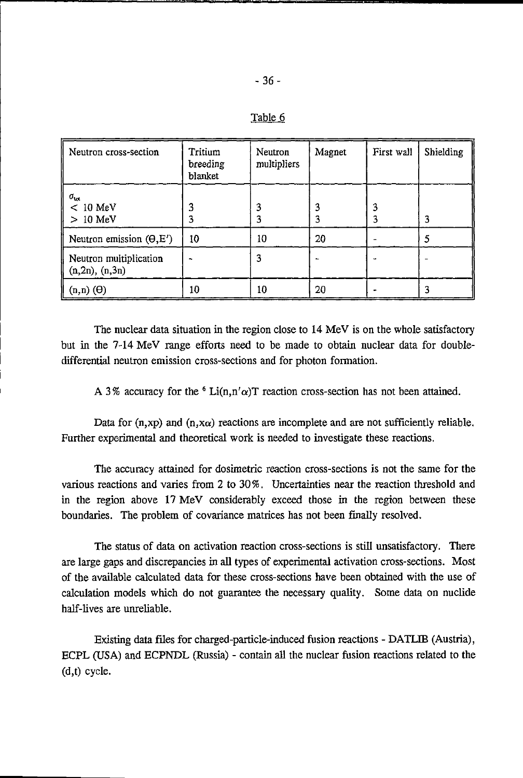| Neutron cross-section                         | Tritium<br>breeding<br>blanket | Neutron<br>multipliers | Magnet | First wall | Shielding |
|-----------------------------------------------|--------------------------------|------------------------|--------|------------|-----------|
| $\sigma_{\rm tot}$<br>$< 10$ MeV<br>$>10$ MeV |                                |                        | 3<br>3 |            | 3         |
| Neutron emission $(\Theta, E')$               | 10                             | 10                     | 20     |            |           |
| Neutron multiplication<br>(n, 2n), (n, 3n)    |                                | 3                      |        |            |           |
| $(n,n)$ $(\Theta)$                            | 10                             | 10                     | 20     |            |           |

|  |  |  |                                                                        |  |  |  |  |  | The nuclear data situation in the region close to 14 MeV is on the whole satisfactory |
|--|--|--|------------------------------------------------------------------------|--|--|--|--|--|---------------------------------------------------------------------------------------|
|  |  |  |                                                                        |  |  |  |  |  | but in the 7-14 MeV range efforts need to be made to obtain nuclear data for double-  |
|  |  |  | differential neutron emission cross-sections and for photon formation. |  |  |  |  |  |                                                                                       |

A 3% accuracy for the  $6$  Li(n,n' $\alpha$ )T reaction cross-section has not been attained.

Data for  $(n, xp)$  and  $(n, x\alpha)$  reactions are incomplete and are not sufficiently reliable. Further experimental and theoretical work is needed to investigate these reactions.

The accuracy attained for dosimetric reaction cross-sections is not the same for the various reactions and varies from 2 to 30%. Uncertainties near the reaction threshold and in the region above 17 MeV considerably exceed those in the region between these boundaries. The problem of covariance matrices has not been finally resolved.

The status of data on activation reaction cross-sections is still unsatisfactory. There are large gaps and discrepancies in all types of experimental activation cross-sections. Most of the available calculated data for these cross-sections have been obtained with the use of calculation models which do not guarantee the necessary quality. Some data on nuclide half-lives are unreliable.

Existing data files for charged-particle-induced fusion reactions - DATLIB (Austria), ECPL (USA) and ECPNDL (Russia) - contain all the nuclear fusion reactions related to the (d,t) cycle.

Table 6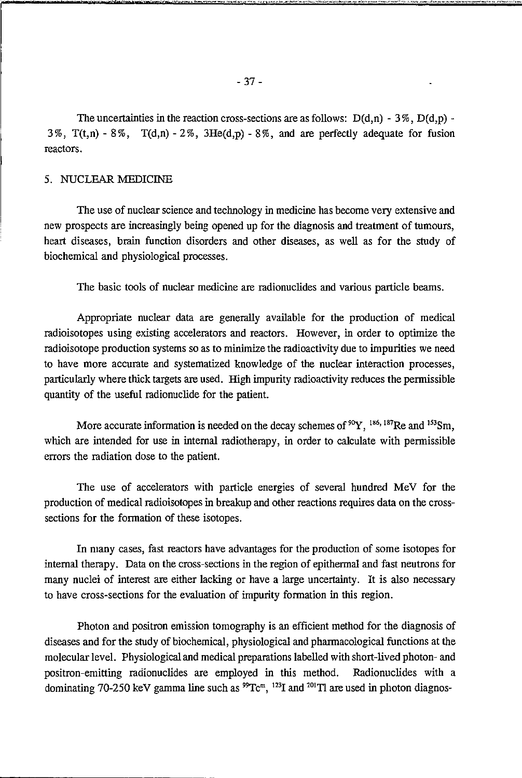#### 5. NUCLEAR MEDICINE

The use of nuclear science and technology in medicine has become very extensive and new prospects are increasingly being opened up for the diagnosis and treatment of tumours, heart diseases, brain function disorders and other diseases, as well as for the study of biochemical and physiological processes.

The basic tools of nuclear medicine are radionuclides and various particle beams.

Appropriate nuclear data are generally available for the production of medical radioisotopes using existing accelerators and reactors. However, in order to optimize the radioisotope production systems so as to minimize the radioactivity due to impurities we need to have more accurate and systematized knowledge of the nuclear interaction processes, particularly where thick targets are used. High impurity radioactivity reduces the permissible quantity of the useful radionuclide for the patient.

More accurate information is needed on the decay schemes of  ${}^{90}Y$ ,  ${}^{186,187}$ Re and  ${}^{153}$ Sm which are intended for use in internal radiotherapy, in order to calculate with permissible errors the radiation dose to the patient.

The use of accelerators with particle energies of several hundred MeV for the production of medical radioisotopes in breakup and other reactions requires data on the crosssections for the formation of these isotopes.

In many cases, fast reactors have advantages for the production of some isotopes for internal therapy. Data on the cross-sections in the region of epithermal and fast neutrons for many nuclei of interest are either lacking or have a large uncertainty. It is also necessary to have cross-sections for the evaluation of impurity formation in this region.

Photon and positron emission tomography is an efficient method for the diagnosis of diseases and for the study of biochemical, physiological and pharmacological functions at the molecular level. Physiological and medical preparations labelled with short-lived photon- and positron-emitting radionuclides are employed in this method. Radionuclides with a dominating 70-250 keV gamma line such as <sup>99</sup>Tc<sup>m</sup>, <sup>123</sup>I and <sup>201</sup>Tl are used in photon diagnos-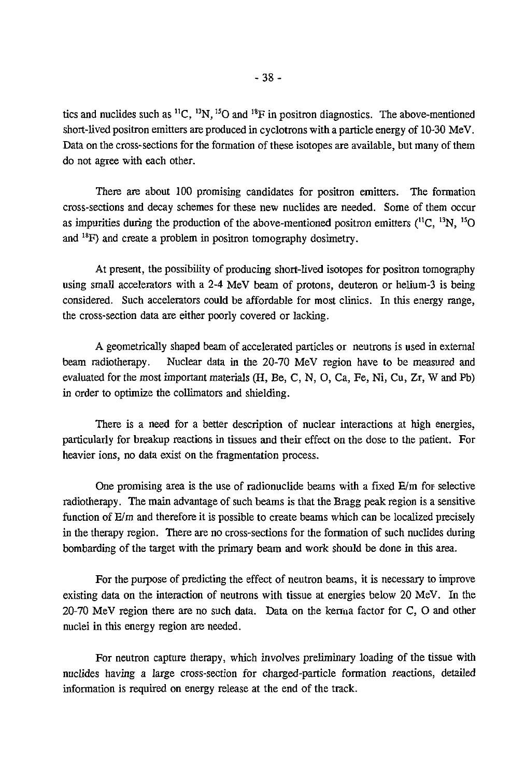tics and nuclides such as <sup>11</sup>C, <sup>13</sup>N, <sup>15</sup>O and <sup>18</sup>F in positron diagnostics. The above-mentioned short-lived positron emitters are produced in cyclotrons with a particle energy of 10-30 MeV. Data on the cross-sections for the formation of these isotopes are available, but many of them do not agree with each other.

There are about 100 promising candidates for positron emitters. The formation cross-sections and decay schemes for these new nuclides are needed. Some of them occur as impurities during the production of the above-mentioned positron emitters  $(^{11}C, ^{13}N, ^{15}C)$ and <sup>18</sup>F) and create a problem in positron tomography dosimetry.

At present, the possibility of producing short-lived isotopes for positron tomography using small accelerators with a 2-4 MeV beam of protons, deuteron or helium-3 is being considered. Such accelerators could be affordable for most clinics. In this energy range, the cross-section data are either poorly covered or lacking.

A geometrically shaped beam of accelerated particles or neutrons is used in external beam radiotherapy. Nuclear data in the 20-70 MeV region have to be measured and evaluated for the most important materials (H, Be, C, N, O, Ca, Fe, Ni, Cu, Zr, W and Pb) in order to optimize the collimators and shielding.

There is a need for a better description of nuclear interactions at high energies, particularly for breakup reactions in tissues and their effect on the dose to the patient. For heavier ions, no data exist on the fragmentation process.

One promising area is the use of radionuclide beams with a fixed  $E/m$  for selective radiotherapy. The main advantage of such beams is that the Bragg peak region is a sensitive function of E/m and therefore it is possible to create beams which can be localized precisely in the therapy region. There are no cross-sections for the formation of such nuclides during bombarding of the target with the primary beam and work should be done in this area.

For the purpose of predicting the effect of neutron beams, it is necessary to improve existing data on the interaction of neutrons with tissue at energies below 20 MeV. In the 20-70 MeV region there are no such data. Data on the kerrna factor for C, O and other nuclei in this energy region are needed.

For neutron capture therapy, which involves preliminary loading of the tissue with nuclides having a large cross-section for charged-particle formation reactions, detailed information is required on energy release at the end of the track.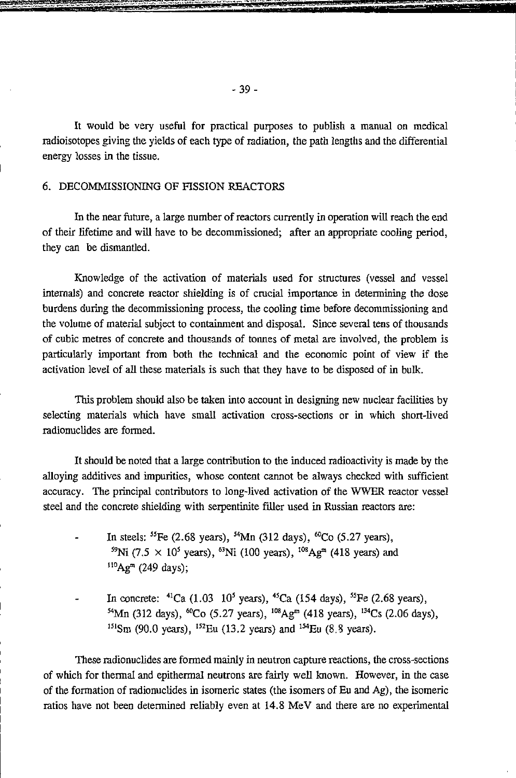It would be very useful for practical purposes to publish a manual on medical radioisotopes giving the yields of each type of radiation, the path lengths and the differential energy losses in the tissue.

#### 6. DECOMMISSIONING OF FISSION REACTORS

In the near future, a large number of reactors currently in operation will reach the end of their lifetime and will have to be decommissioned; after an appropriate cooling period, they can be dismantled.

Knowledge of the activation of materials used for structures (vessel and vessel internals) and concrete reactor shielding is of crucial importance in determining the dose burdens during the decommissioning process, the cooling time before decommissioning and the volume of material subject to containment and disposal. Since several tens of thousands of cubic metres of concrete and thousands of tonnes of metal are involved, the problem is particularly important from both the technical and the economic point of view if the activation level of all these materials is such that they have to be disposed of in bulk.

This problem should also be taken into account in designing new nuclear facilities by selecting materials which have small activation cross-sections or in which short-lived radionuclides are formed.

It should be noted that a large contribution to the induced radioactivity is made by the alloying additives and impurities, whose content cannot be always checked with sufficient accuracy. The principal contributors to long-Jived activation of the WWER reactor vessel steel and the concrete shielding with serpentinite filler used in Russian reactors are:

- In steels: <sup>55</sup>Fe (2.68 years), <sup>54</sup>Mn (312 days), <sup>60</sup>Co (5.27 years) <sup>59</sup>Ni (7.5 × 10<sup>5</sup> years), <sup>63</sup>Ni (100 years), <sup>108</sup>Ag<sup>m</sup> (418 years) and  $^{110}$ Ag<sup>m</sup> (249 days);
- In concrete:  $^{41}$ Ca (1.03 10<sup>5</sup> years),  $^{45}$ Ca (154 days),  $^{55}$ Fe (2.68 years) <sup>54</sup>Mn (312 days), <sup>60</sup>Co (5.27 years), <sup>108</sup>Ag<sup>m</sup> (418 years), <sup>134</sup>Cs (2.06 days)  $151$ Sm (90.0 years),  $152$ Eu (13.2 years) and  $154$ Eu (8.8 years)

These radionuclides are formed mainly in neutron capture reactions, the cross-sections of which for thermal and epithermal neutrons are fairly well known. However, in the case of the formation of radionuclides in isomeric states (the isomers of Eu and Ag), the isomeric ratios have not been determined reliably even at 14.8 MeV and there are no experimental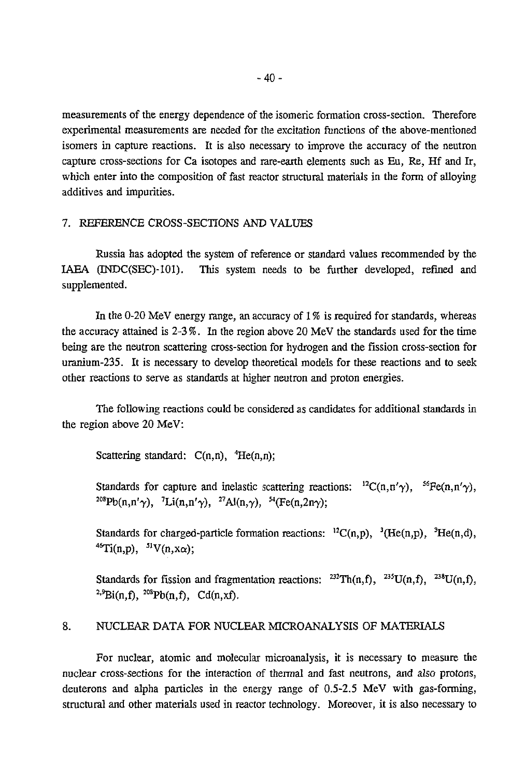measurements of the energy dependence of the isomeric formation cross-section. Therefore experimental measurements are needed for the excitation functions of the above-mentioned isomers in capture reactions. It is also necessary to improve the accuracy of the neutron capture cross-sections for Ca isotopes and rare-earth elements such as Eu, Re, Hf and Ir, which enter into the composition of fast reactor structural materials in the form of alloying additives and impurities.

#### 7. REFERENCE CROSS-SECTIONS AND VALUES

Russia has adopted the system of reference or standard values recommended by the IAEA (TNDC(SEC)-lOl). This system needs to be further developed, refined and supplemented.

In the 0-20 MeV energy range, an accuracy of 1% is required for standards, whereas the accuracy attained is 2-3 % . In the region above 20 MeV the standards used for the time being are the neutron scattering cross-section for hydrogen and the fission cross-section for uranium-235. It is necessary to develop theoretical models for these reactions and to seek other reactions to serve as standards at higher neutron and proton energies.

The following reactions could be considered as candidates for additional standards in the region above 20 MeV:

Scattering standard:  $C(n,n)$ ,  ${}^{4}He(n,n)$ ;

Standards for capture and inelastic scattering reactions:  ${}^{12}C(n,n'\gamma)$ ,  ${}^{56}Fe(n,n'\gamma)$ <sup>208</sup>Pb(n,n' $\gamma$ ), <sup>7</sup>Li(n,n' $\gamma$ ), <sup>27</sup>Al(n, $\gamma$ ), <sup>54</sup>(Fe(n,2n $\gamma$ )

Standards for charged-particle formation reactions:  $^{12}C(n,p)$ ,  $^{3}He(n,p)$ ,  $^{3}He(n,d)$  $^{46}Ti(n,p)$ ,  $^{51}V(n, x\alpha)$ ;

Standards for fission and fragmentation reactions:  $^{232}Th(n,f)$ ,  $^{235}U(n,f)$ , <sup>2,9</sup>Bi(n,f), <sup>208</sup>Pb(n,f), Cd(n,xf).

#### 8. NUCLEAR DATA FOR NUCLEAR MICROANALYSIS OF MATERIALS

For nuclear, atomic and molecular microanalysis, it is necessary to measure the nuclear cross-sections for the interaction of thermal and fast neutrons, and also protons, deuterons and alpha particles in the energy range of 0.5-2.5 MeV with gas-forming, structural and other materials used in reactor technology. Moreover, it is also necessary to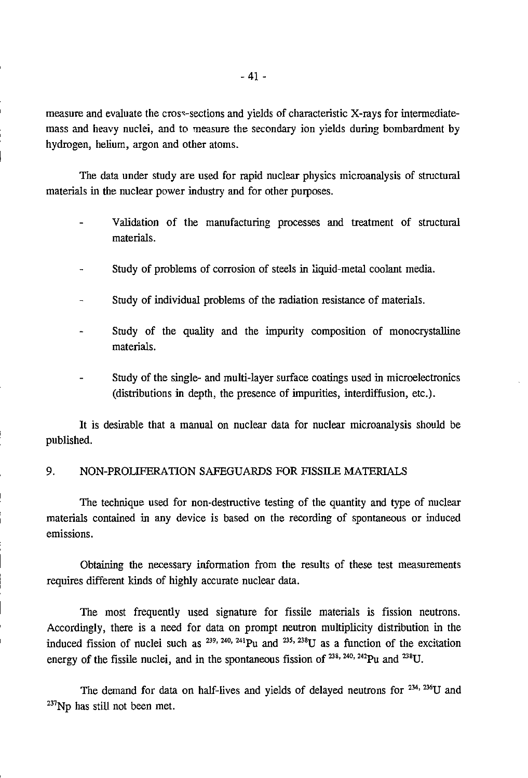measure and evaluate the cross-sections and yields of characteristic X-rays for intermediatemass and heavy nuclei, and to measure the secondary ion yields during bombardment by hydrogen, helium, argon and other atoms.

The data under study are used for rapid nuclear physics microanalysis of structural materials in the nuclear power industry and for other purposes.

- Validation of the manufacturing processes and treatment of structural materials.
- Study of problems of corrosion of steels in liquid-metal coolant media.
- Study of individual problems of the radiation resistance of materials.
- Study of the quality and the impurity composition of monocrystalline materials.
- Study of the single- and multi-layer surface coatings used in microelectronics (distributions in depth, the presence of impurities, interdiffusion, etc.).

It is desirable that a manual on nuclear data for nuclear microanalysis should be published.

#### 9. NON-PROLIFERATION SAFEGUARDS FOR FISSILE MATERIALS

The technique used for non-destructive testing of the quantity and type of nuclear materials contained in any device is based on the recording of spontaneous or induced emissions.

Obtaining the necessary information from the results of these test measurements requires different kinds of highly accurate nuclear data.

The most frequently used signature for fissile materials is fission neutrons. Accordingly, there is a need for data on prompt neutron multiplicity distribution in the induced fission of nuclei such as  $^{239, 240, 241}$ Pu and  $^{235, 238}$ U as a function of the excitation energy of the fissile nuclei, and in the spontaneous fission of  $^{238}$ ,  $^{240}$ ,  $^{242}$ Pu and  $^{238}$ U

The demand for data on half-lives and yields of delayed neutrons for  $234, 236$ U and  $237$ Np has still not been met.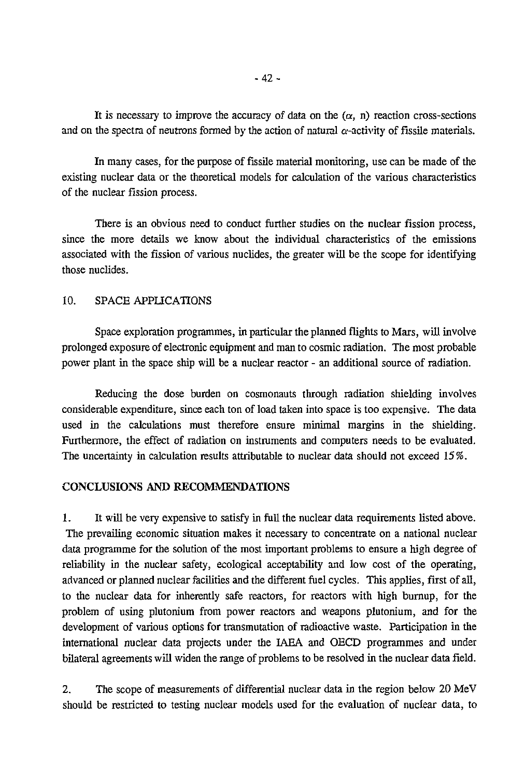It is necessary to improve the accuracy of data on the  $(\alpha, n)$  reaction cross-sections and on the spectra of neutrons formed by the action of natural  $\alpha$ -activity of fissile materials.

In many cases, for the purpose of fissile material monitoring, use can be made of the existing nuclear data or the theoretical models for calculation of the various characteristics of the nuclear fission process.

There is an obvious need to conduct further studies on the nuclear fission process, since the more details we know about the individual characteristics of the emissions associated with the fission of various nuclides, the greater will be the scope for identifying those nuclides.

#### 10. SPACE APPLICATIONS

Space exploration programmes, in particular the planned flights to Mars, will involve prolonged exposure of electronic equipment and man to cosmic radiation. The most probable power plant in the space ship will be a nuclear reactor - an additional source of radiation.

Reducing the dose burden on cosmonauts through radiation shielding involves considerable expenditure, since each ton of load taken into space is too expensive. The data used in the calculations must therefore ensure minimal margins in the shielding. Furthermore, the effect of radiation on instruments and computers needs to be evaluated. The uncertainty in calculation results attributable to nuclear data should not exceed 15%.

# **CONCLUSIONS AND RECOMMENDATIONS**

1. It will be very expensive to satisfy in full the nuclear data requirements listed above. The prevailing economic situation makes it necessary to concentrate on a national nuclear data programme for the solution of the most important problems to ensure a high degree of reliability in the nuclear safety, ecological acceptability and low cost of the operating, advanced or planned nuclear facilities and the different fuel cycles. This applies, first of all, to the nuclear data for inherently safe reactors, for reactors with high burnup, for the problem of using plutonium from power reactors and weapons plutonium, and for the development of various options for transmutation of radioactive waste. Participation in the international nuclear data projects under the IAEA and OECD programmes and under bilateral agreements will widen the range of problems to be resolved in the nuclear data field.

2. The scope of measurements of differential nuclear data in the region below 20 MeV should be restricted to testing nuclear models used for the evaluation of nuclear data, to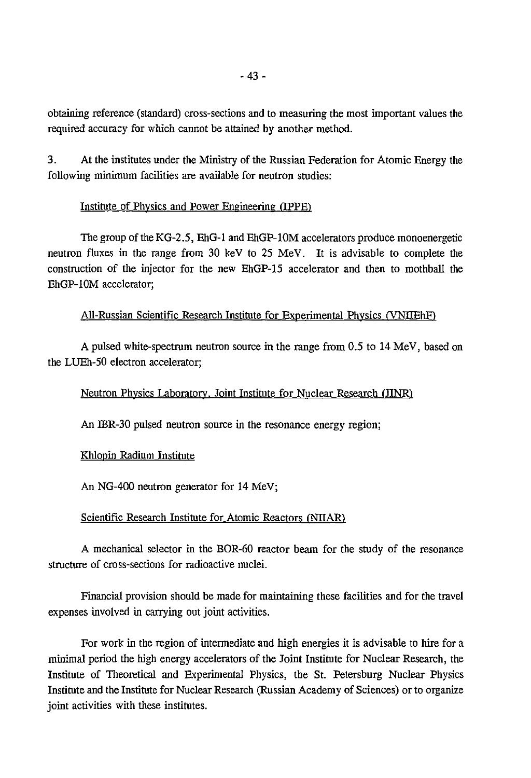obtaining reference (standard) cross-sections and to measuring the most important values the required accuracy for which cannot be attained by another method.

3. At the institutes under the Ministry of the Russian Federation for Atomic Energy the following minimum facilities are available for neutron studies:

#### Institute of Physics and Power Engineering (TPPE)

The group of the KG-2.5, EhG-1 and EhGP-lOM accelerators produce monoenergetic neutron fluxes in the range from 30 keV to 25 MeV. It is advisable to complete the construction of the injector for the new EhGP-15 accelerator and then to mothball the EhGP-lOM accelerator;

#### All-Russian Scientific Research Institute for Experimental Physics (VNHEhF)

A pulsed white-spectrum neutron source in the range from 0.5 to 14 MeV, based on the LUEh-50 electron accelerator;

#### Neutron Physics Laboratory. Joint Institute for Nuclear Research (JINR)

An IBR-30 pulsed neutron source in the resonance energy region;

#### Khlopin Radium Institute

An NG-400 neutron generator for 14 MeV;

# Scientific Research Institute for Atomic Reactors (NIIAR)

A mechanical selector in the BOR-60 reactor beam for the study of the resonance structure of cross-sections for radioactive nuclei.

Financial provision should be made for maintaining these facilities and for the travel expenses involved in carrying out joint activities.

For work in the region of intermediate and high energies it is advisable to hire for a minimal period the high energy accelerators of the Joint Institute for Nuclear Research, the Institute of Theoretical and Experimental Physics, the St. Petersburg Nuclear Physics Institute and the Institute for Nuclear Research (Russian Academy of Sciences) or to organize joint activities with these institutes.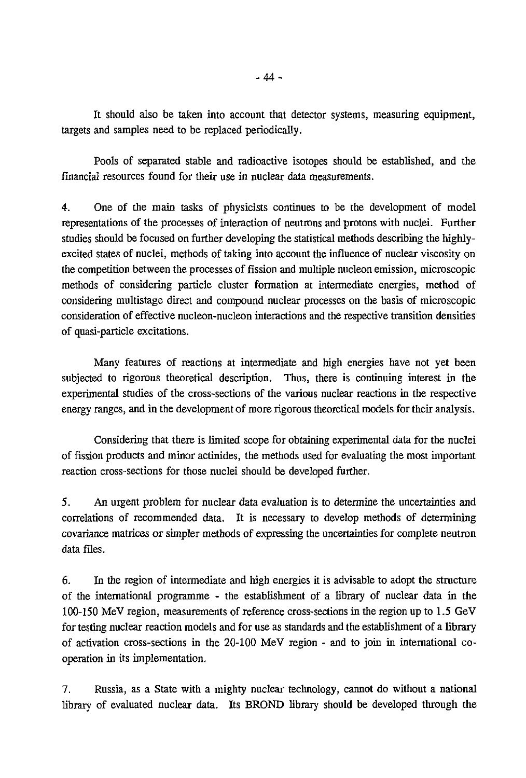It should also be taken into account that detector systems, measuring equipment, targets and samples need to be replaced periodically.

Pools of separated stable and radioactive isotopes should be established, and the financial resources found for their use in nuclear data measurements.

4. One of the main tasks of physicists continues to be the development of model representations of the processes of interaction of neutrons and protons with nuclei. Further studies should be focused on further developing the statistical methods describing the highlyexcited states of nuclei, methods of taking into account the influence of nuclear viscosity on the competition between the processes of fission and multiple nucleon emission, microscopic methods of considering particle cluster formation at intermediate energies, method of considering multistage direct and compound nuclear processes on the basis of microscopic consideration of effective nucleon-nucleon interactions and the respective transition densities of quasi-particle excitations.

Many features of reactions at intermediate and high energies have not yet been subjected to rigorous theoretical description. Thus, there is continuing interest in the experimental studies of the cross-sections of the various nuclear reactions in the respective energy ranges, and in the development of more rigorous theoretical models for their analysis.

Considering that there is limited scope for obtaining experimental data for the nuclei of fission products and minor actinides, the methods used for evaluating the most important reaction cross-sections for those nuclei should be developed further.

5. An urgent problem for nuclear data evaluation is to determine the uncertainties and correlations of recommended data. It is necessary to develop methods of determining covariance matrices or simpler methods of expressing the uncertainties for complete neutron data files.

6. In the region of intermediate and high energies it is advisable to adopt the structure of the international programme - the establishment of a library of nuclear data in the 100-150 MeV region, measurements of reference cross-sections in the region up to 1.5 GeV for testing nuclear reaction models and for use as standards and the establishment of a library of activation cross-sections in the 20-100 MeV region - and to join in international cooperation in its implementation.

7. Russia, as a State with a mighty nuclear technology, cannot do without a national library of evaluated nuclear data. Its BROND library should be developed through the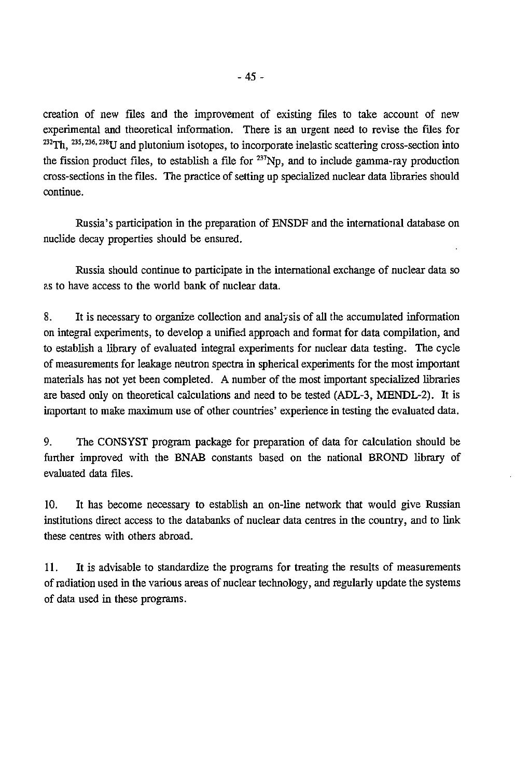creation of new files and the improvement of existing files to take account of new experimental and theoretical information. There is an urgent need to revise the files for  $^{232}Th$ ,  $^{235, 236, 238}U$  and plutonium isotopes, to incorporate inelastic scattering cross-section into the fission product files, to establish a file for  $^{237}Np$ , and to include gamma-ray production cross-sections in the files. The practice of setting up specialized nuclear data libraries should continue.

Russia's participation in the preparation of ENSDF and the international database on nuclide decay properties should be ensured.

Russia should continue to participate in the international exchange of nuclear data so as to have access to the world bank of nuclear data.

8. It is necessary to organize collection and analysis of all the accumulated information on integral experiments, to develop a unified approach and format for data compilation, and to establish a library of evaluated integral experiments for nuclear data testing. The cycle of measurements for leakage neutron spectra in spherical experiments for the most important materials has not yet been completed. A number of the most important specialized libraries are based only on theoretical calculations and need to be tested (ADL-3, MENDL-2). It is important to make maximum use of other countries' experience in testing the evaluated data.

9. The CONSYST program package for preparation of data for calculation should be further improved with the BNAB constants based on the national BROND library of evaluated data files.

10. It has become necessary to establish an on-line network that would give Russian institutions direct access to the databanks of nuclear data centres in the country, and to link these centres with others abroad.

11. It is advisable to standardize the programs for treating the results of measurements of radiation used in the various areas of nuclear technology, and regularly update the systems of data used in these programs.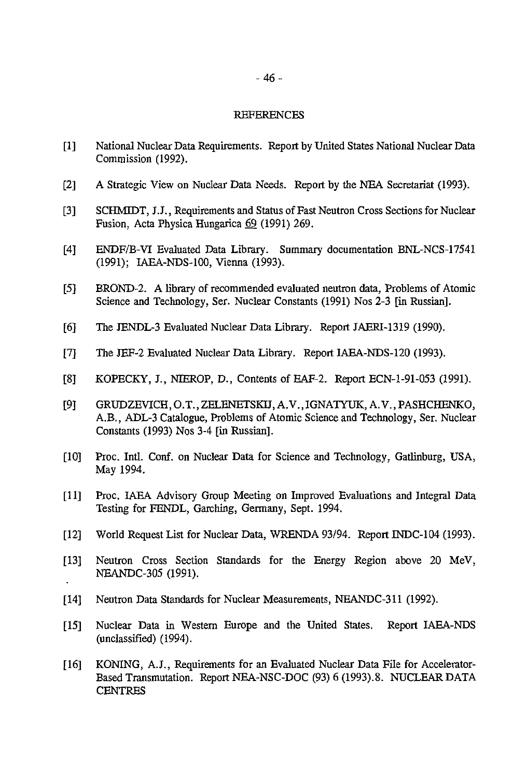#### **REFERENCES**

- [I] National Nuclear Data Requirements. Report by United States National Nuclear Data Commission (1992).
- [2] A Strategic View on Nuclear Data Needs. Report by the NBA Secretariat (1993).
- [3] SCHMIDT, J.J., Requirements and Status of Fast Neutron Cross Sections for Nuclear Fusion, Acta Physica Hungarica 69 (1991) 269.
- [4] ENDF/B-VI Evaluated Data Library. Summary documentation BNL-NCS-17541 (1991); IAEA-NDS-100, Vienna (1993).
- [5] BROND-2. A library of recommended evaluated neutron data, Problems of Atomic Science and Technology, Ser. Nuclear Constants (1991) Nos 2-3 [in Russian].
- [6] The JENDL-3 Evaluated Nuclear Data Library. Report JAERI-1319 (1990).
- [7] The JEF-2 Evaluated Nuclear Data Library. Report IAEA-NDS-120 (1993).
- [8] KOPECKY, J., NIEROP, D., Contents of EAF-2. Report ECN-1-91-053 (1991).
- [9] GRUDZEVICH, O.T., ZELENETSKU, A. V., IGNATYUK, A. V., PASHCHENKO, A.B., ADL-3 Catalogue, Problems of Atomic Science and Technology, Ser. Nuclear Constants (1993) Nos 3-4 [in Russian].
- [10] Proc. Intl. Conf. on Nuclear Data for Science and Technology. Gatlinburg, USA, May 1994.
- [II] Proc. IAEA Advisory Group Meeting on Improved Evaluations and Integral Data Testing for FENDL, Garching, Germany, Sept. 1994.
- [12] World Request List for Nuclear Data, WRENDA 93/94. Report INDC-104 (1993).
- [13] Neutron Cross Section Standards for the Energy Region above 20 MeV, NEANDC-305 (1991).
- [14] Neutron Data Standards for Nuclear Measurements, NEANDC-311 (1992).
- [15] Nuclear Data in Western Europe and the United States. Report IAEA-NDS (unclassified) (1994).
- [16] KONING, A.J., Requirements for an Evaluated Nuclear Data File for Accelerator-Based Transmutation. Report NEA-NSC-DOC (93) 6 (1993).8. NUCLEAR DATA **CENTRES**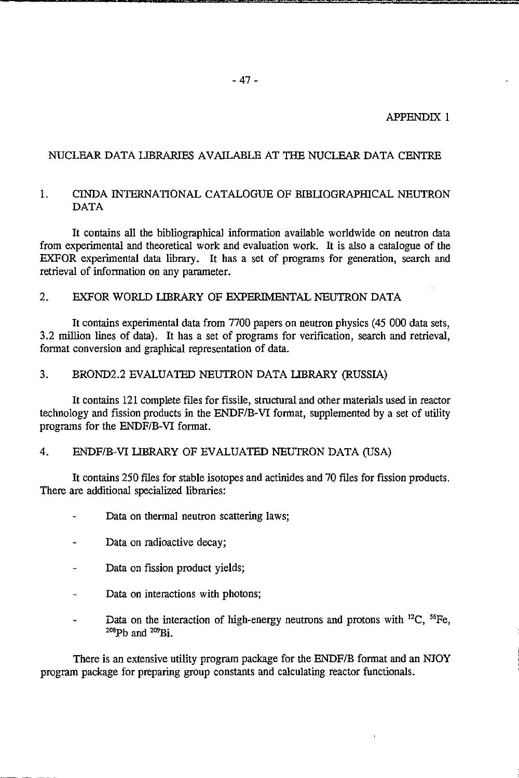#### APPENDIX 1

#### NUCLEAR DATA LIBRARIES AVAILABLE AT THE NUCLEAR DATA CENTRE

#### 1. CINDA INTERNATIONAL CATALOGUE OF BIBLIOGRAPHICAL NEUTRON DATA

It contains all the bibliographical information available worldwide on neutron data from experimental and theoretical work and evaluation work. It is also a catalogue of the EXFOR experimental data library. It has a set of programs for generation, search and retrieval of information on any parameter.

#### 2. EXFOR WORLD LIBRARY OF EXPERIMENTAL NEUTRON DATA

It contains experimental data from 7700 papers on neutron physics (45 000 data sets, 3.2 million lines of data). It has a set of programs for verification, search and retrieval, format conversion and graphical representation of data.

#### 3. BROND2.2 EVALUATED NEUTRON DATA LIBRARY (RUSSIA)

It contains 121 complete files for fissile, structural and other materials used in reactor technology and fission products in the ENDF/B-VI format, supplemented by a set of utility programs for the ENDF/B-VI format.

#### 4. ENDF/B-VI LIBRARY OF EVALUATED NEUTRON DATA (USA)

It contains 250 files for stable isotopes and actinides and 70 files for fission products. There are additional specialized libraries:

- Data on thermal neutron scattering laws;
- Data on radioactive decay;
- Data on fission product yields;
- Data on interactions with photons;  $\overline{a}$
- Data on the interaction of high-energy neutrons and protons with  $^{12}C$ ,  $^{56}Fe$  $\overline{a}$  $^{208}$ Pb and  $^{209}$ Bi.

There is an extensive utility program package for the ENDF/B format and an NJOY program package for preparing group constants and calculating reactor functionals.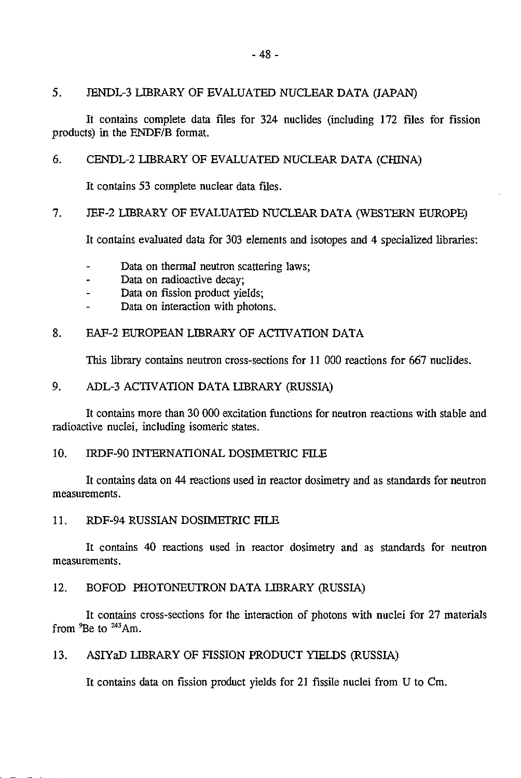#### 5 . JENDL-3 LIBRARY OF EVALUATED NUCLEAR DATA (JAPAN)

It contains complete data files for 324 nuclides (including 172 files for fission products) in the ENDF/B format.

#### 6. CENDL-2 LIBRARY OF EVALUATED NUCLEAR DATA (CHINA)

It contains 53 complete nuclear data files.

#### 7. JEF-2 LIBRARY OF EVALUATED NUCLEAR DATA (WESTERN EUROPE)

It contains evaluated data for 303 elements and isotopes and 4 specialized libraries:

- Data on thermal neutron scattering laws;
- Data on radioactive decay;
- Data on fission product yields;
- Data on interaction with photons.

#### 8. EAF-2 EUROPEAN LIBRARY OF ACTIVATION DATA

This library contains neutron cross-sections for 11 000 reactions for 667 nuclides.

#### 9. ADL-3 ACTIVATION DATA LIBRARY (RUSSIA)

It contains more than 30 000 excitation functions for neutron reactions with stable and radioactive nuclei, including isomeric states.

#### 10. RDF-90 INTERNATIONAL DOSIMETRIC FILE

It contains data on 44 reactions used in reactor dosimetry and as standards for neutron measurements.

11. RDF-94 RUSSIAN DOSIMETRIC FILE

It contains 40 reactions used in reactor dosimetry and as standards for neutron measurements.

#### 12. BOFOD PHOTONEUTRON DATA LIBRARY (RUSSIA)

It contains cross-sections for the interaction of photons with nuclei for 27 materials from  ${}^{9}$ Be to  ${}^{243}$ Am.

#### 13. ASIYaD LIBRARY OF FISSION PRODUCT YIELDS (RUSSIA)

It contains data on fission product yields for 21 fissile nuclei from U to Cm.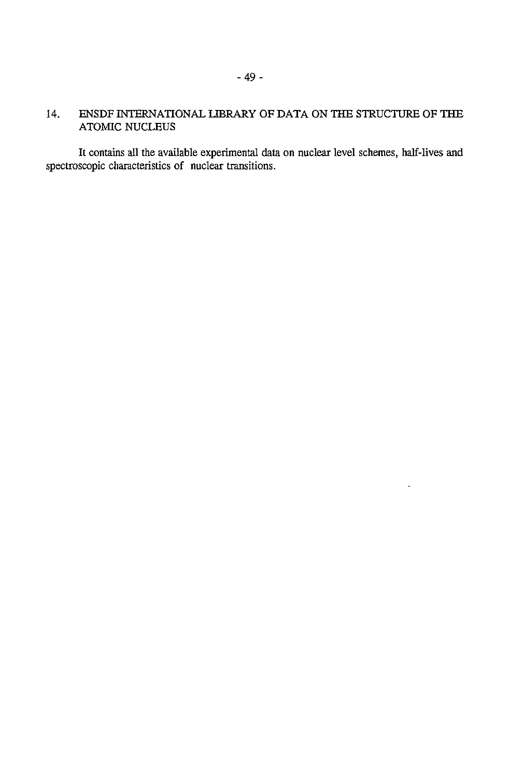# 14. ENSDF INTERNATIONAL LIBRARY OF DATA ON THE STRUCTURE OF THE ATOMIC NUCLEUS

It contains all the available experimental data on nuclear level schemes, half-lives and spectroscopic characteristics of nuclear transitions.

L,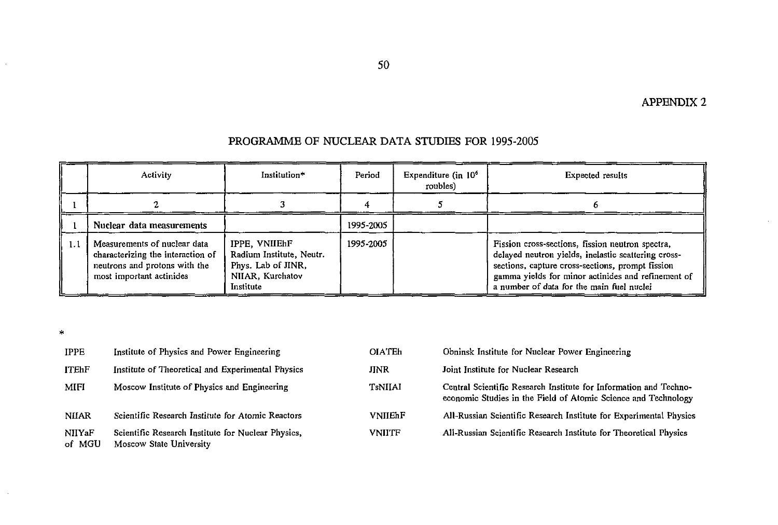|     | <b>Activity</b>                                                                                                                | Institution*                                                                                     | Period    | Expenditure (in $106$<br>roubles) | Expected results                                                                                                                                                                                                                                               |
|-----|--------------------------------------------------------------------------------------------------------------------------------|--------------------------------------------------------------------------------------------------|-----------|-----------------------------------|----------------------------------------------------------------------------------------------------------------------------------------------------------------------------------------------------------------------------------------------------------------|
|     |                                                                                                                                |                                                                                                  |           |                                   |                                                                                                                                                                                                                                                                |
|     | Nuclear data measurements                                                                                                      |                                                                                                  | 1995-2005 |                                   |                                                                                                                                                                                                                                                                |
| 1.1 | Measurements of nuclear data<br>characterizing the interaction of<br>neutrons and protons with the<br>most important actinides | IPPE, VNIIEhF<br>Radium Institute, Neutr.<br>Phys. Lab of JINR,<br>NIIAR, Kurchatov<br>Institute | 1995-2005 |                                   | Fission cross-sections, fission neutron spectra,<br>delayed neutron yields, inelastic scattering cross-<br>sections, capture cross-sections, prompt fission<br>gamma yields for minor actinides and refinement of<br>a number of data for the main fuel nuclei |

# PROGRAMME OF NUCLEAR DATA STUDIES FOR 1995-2005

 $\sim$ 

| <b>IPPE</b>      | Institute of Physics and Power Engineering                                    | <b>OIATEh</b>  | Obninsk Institute for Nuclear Power Engineering                                                                                     |
|------------------|-------------------------------------------------------------------------------|----------------|-------------------------------------------------------------------------------------------------------------------------------------|
| <b>ITEhF</b>     | Institute of Theoretical and Experimental Physics                             | <b>JINR</b>    | Joint Institute for Nuclear Research                                                                                                |
| <b>MIFI</b>      | Moscow Institute of Physics and Engineering                                   | TsNIIAI        | Central Scientific Research Institute for Information and Techno-<br>economic Studies in the Field of Atomic Science and Technology |
| <b>NIIAR</b>     | Scientific Research Institute for Atomic Reactors                             | <b>VNIIEhF</b> | All-Russian Scientific Research Institute for Experimental Physics                                                                  |
| NIIYaF<br>of MGU | Scientific Research Institute for Nuclear Physics,<br>Moscow State University | <b>VNIITF</b>  | All-Russian Scientific Research Institute for Theoretical Physics                                                                   |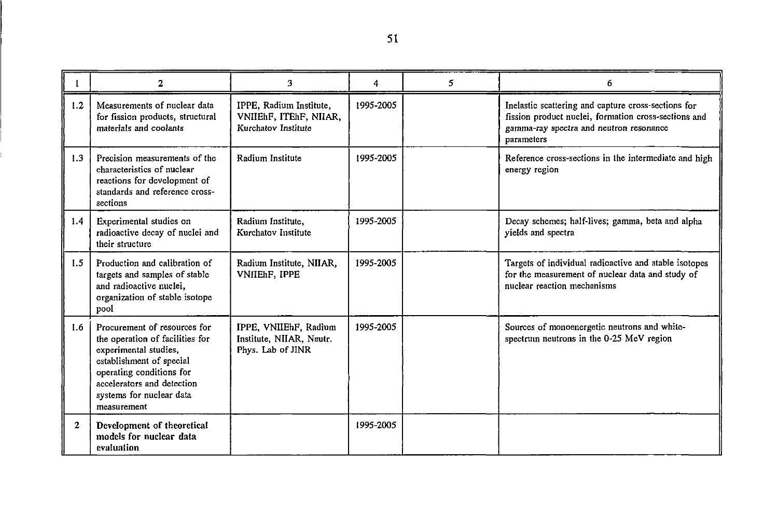|              | 2                                                                                                                                                                                                                         | 3                                                                        | 4         | 5. | 6                                                                                                                                                                    |
|--------------|---------------------------------------------------------------------------------------------------------------------------------------------------------------------------------------------------------------------------|--------------------------------------------------------------------------|-----------|----|----------------------------------------------------------------------------------------------------------------------------------------------------------------------|
| 1.2          | Measurements of nuclear data<br>for fission products, structural<br>materials and coolants                                                                                                                                | IPPE, Radium Institute,<br>VNIIEhF, ITEhF, NIIAR,<br>Kurchatov Institute | 1995-2005 |    | Inelastic scattering and capture cross-sections for<br>fission product nuclei, formation cross-sections and<br>gamma-ray spectra and neutron resonance<br>parameters |
| 1.3          | Precision measurements of the<br>characteristics of nuclear<br>reactions for development of<br>standards and reference cross-<br>sections                                                                                 | Radium Institute                                                         | 1995-2005 |    | Reference cross-sections in the intermediate and high<br>energy region                                                                                               |
| 1.4          | Experimental studies on<br>radioactive decay of nuclei and<br>their structure                                                                                                                                             | Radium Institute.<br>Kurchatov Institute                                 | 1995-2005 |    | Decay schemes; half-lives; gamma, beta and alpha<br>yields and spectra                                                                                               |
| 1.5          | Production and calibration of<br>targets and samples of stable<br>and radioactive nuclei,<br>organization of stable isotope<br>pool                                                                                       | Radium Institute, NIIAR,<br>VNIIEhF, IPPE                                | 1995-2005 |    | Targets of individual radioactive and stable isotopes<br>for the measurement of nuclear data and study of<br>nuclear reaction mechanisms                             |
| 1.6          | Procurement of resources for<br>the operation of facilities for<br>experimental studies,<br>establishment of special<br>operating conditions for<br>accelerators and detection<br>systems for nuclear data<br>measurement | IPPE, VNIIEhF, Radium<br>Institute, NIIAR, Neutr.<br>Phys. Lab of JINR   | 1995-2005 |    | Sources of monoenergetic neutrons and white-<br>spectrum neutrons in the 0-25 MeV region                                                                             |
| $\mathbf{2}$ | Development of theoretical<br>models for nuclear data<br>evaluation                                                                                                                                                       |                                                                          | 1995-2005 |    |                                                                                                                                                                      |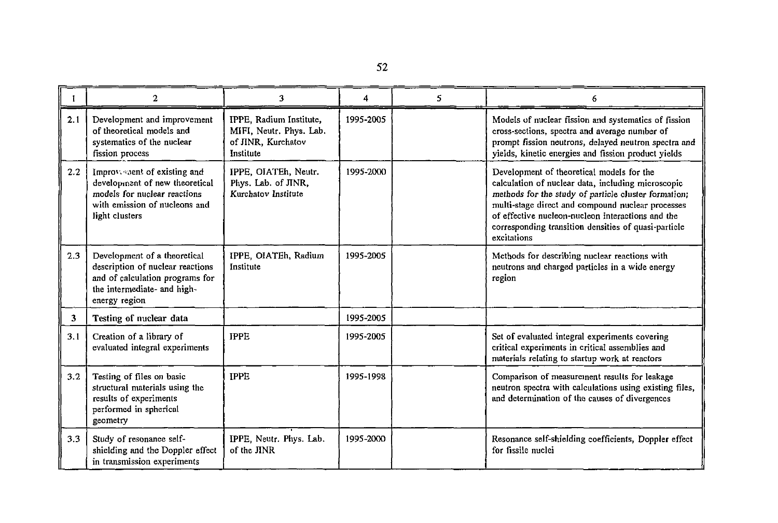|                | 2                                                                                                                                                   | 3                                                                                     | 4         | 5. | 6                                                                                                                                                                                                                                                                                                                                        |
|----------------|-----------------------------------------------------------------------------------------------------------------------------------------------------|---------------------------------------------------------------------------------------|-----------|----|------------------------------------------------------------------------------------------------------------------------------------------------------------------------------------------------------------------------------------------------------------------------------------------------------------------------------------------|
| 2.1            | Development and improvement<br>of theoretical models and<br>systematics of the nuclear<br>fission process                                           | IPPE, Radium Institute,<br>MIFI, Neutr. Phys. Lab.<br>of JINR, Kurchatov<br>Institute | 1995-2005 |    | Models of nuclear fission and systematics of fission<br>cross-sections, spectra and average number of<br>prompt fission neutrons, delayed neutron spectra and<br>yields, kinetic energies and fission product yields                                                                                                                     |
| 2.2            | Improvement of existing and<br>development of new theoretical<br>models for nuclear reactions<br>with emission of nucleons and<br>light clusters    | IPPE, OIATEh, Neutr.<br>Phys. Lab. of JINR,<br>Kurchatov Institute                    | 1995-2000 |    | Development of theoretical models for the<br>calculation of nuclear data, including microscopic<br>methods for the study of particle cluster formation;<br>multi-stage direct and compound nuclear processes<br>of effective nucleon-nucleon interactions and the<br>corresponding transition densities of quasi-particle<br>excitations |
| 2.3            | Development of a theoretical<br>description of nuclear reactions<br>and of calculation programs for<br>the intermediate- and high-<br>energy region | IPPE, OIATEh, Radium<br>Institute                                                     | 1995-2005 |    | Methods for describing nuclear reactions with<br>neutrons and charged particles in a wide energy<br>region                                                                                                                                                                                                                               |
| 3 <sup>1</sup> | Testing of nuclear data                                                                                                                             |                                                                                       | 1995-2005 |    |                                                                                                                                                                                                                                                                                                                                          |
| 3.1            | Creation of a library of<br>evaluated integral experiments                                                                                          | <b>IPPE</b>                                                                           | 1995-2005 |    | Set of evaluated integral experiments covering<br>critical experiments in critical assemblies and<br>materials relating to startup work at reactors                                                                                                                                                                                      |
| 3.2            | Testing of files on basic<br>structural materials using the<br>results of experiments<br>performed in spherical<br>geometry                         | <b>IPPE</b>                                                                           | 1995-1998 |    | Comparison of measurement results for leakage<br>neutron spectra with calculations using existing files,<br>and determination of the causes of divergences                                                                                                                                                                               |
| 3.3            | Study of resonance self-<br>shielding and the Doppler effect<br>in transmission experiments                                                         | IPPE, Neutr. Phys. Lab.<br>of the JINR                                                | 1995-2000 |    | Resonance self-shielding coefficients, Doppler effect<br>for fissile nuclei                                                                                                                                                                                                                                                              |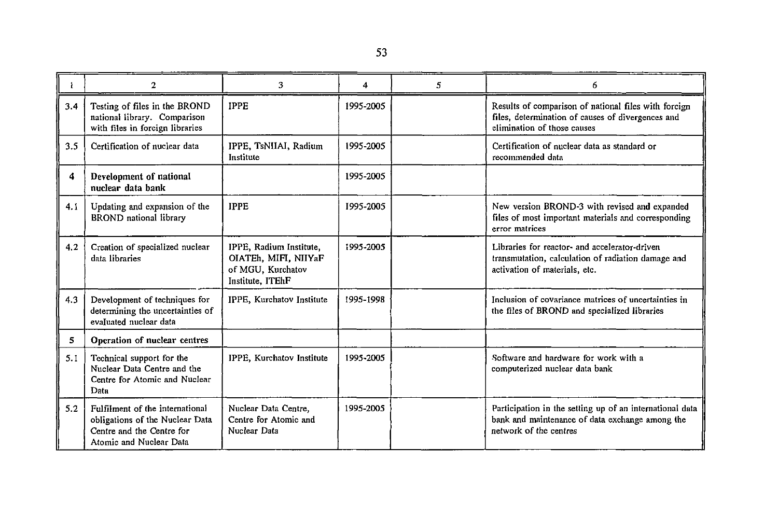|     | 2                                                                                                                          | 3                                                                                        | 4         | 5. | 6                                                                                                                                        |
|-----|----------------------------------------------------------------------------------------------------------------------------|------------------------------------------------------------------------------------------|-----------|----|------------------------------------------------------------------------------------------------------------------------------------------|
| 3.4 | Testing of files in the BROND<br>national library. Comparison<br>with files in foreign libraries                           | <b>IPPE</b>                                                                              | 1995-2005 |    | Results of comparison of national files with forcign<br>files, determination of causes of divergences and<br>elimination of those causes |
| 3.5 | Certification of nuclear data                                                                                              | IPPE, TsNIIAI, Radium<br>Institute                                                       | 1995-2005 |    | Certification of nuclear data as standard or<br>recommended data                                                                         |
| 4   | Development of national<br>nuclear data bank                                                                               |                                                                                          | 1995-2005 |    |                                                                                                                                          |
| 4.1 | Updating and expansion of the<br><b>BROND</b> national library                                                             | <b>IPPE</b>                                                                              | 1995-2005 |    | New version BROND-3 with revised and expanded<br>files of most important materials and corresponding<br>error matrices                   |
| 4.2 | Creation of specialized nuclear<br>data libraries                                                                          | IPPE, Radium Institute,<br>OIATEh, MIFI, NIIYaF<br>of MGU, Kurchatov<br>Institute, ITEhF | 1995-2005 |    | Libraries for reactor- and accelerator-driven<br>transmutation, calculation of radiation damage and<br>activation of materials, etc.     |
| 4.3 | Development of techniques for<br>determining the uncertainties of<br>evaluated nuclear data                                | IPPE, Kurchatov Institute                                                                | 1995-1998 |    | Inclusion of covariance matrices of uncertainties in<br>the files of BROND and specialized libraries                                     |
| 5   | Operation of nuclear centres                                                                                               |                                                                                          |           |    |                                                                                                                                          |
| 5.1 | Technical support for the<br>Nuclear Data Centre and the<br>Centre for Atomic and Nuclear<br>Data                          | IPPE, Kurchatov Institute                                                                | 1995-2005 |    | Software and hardware for work with a<br>computerized nuclear data bank                                                                  |
| 5.2 | Fulfilment of the international<br>obligations of the Nuclear Data<br>Centre and the Centre for<br>Atomic and Nuclear Data | Nuclear Data Centre,<br>Centre for Atomic and<br>Nuclear Data                            | 1995-2005 |    | Participation in the setting up of an international data<br>bank and maintenance of data exchange among the<br>network of the centres    |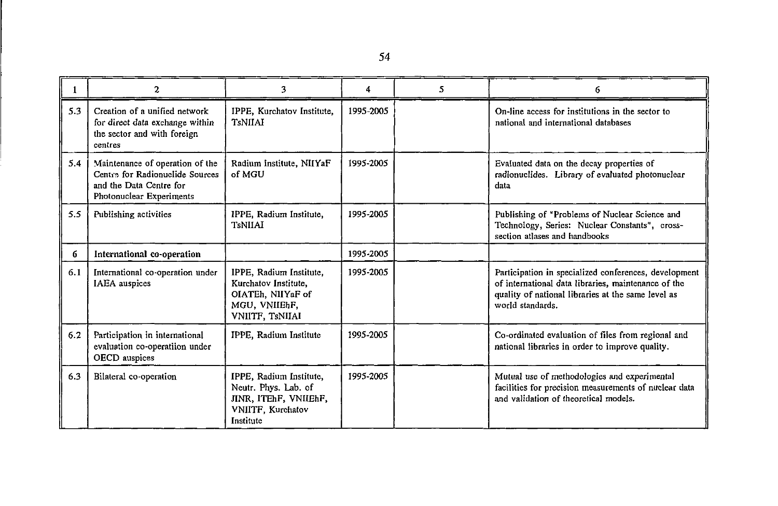|     | 2                                                                                                                         | 3                                                                                                          | 4         | 5. | 6                                                                                                                                                                                      |
|-----|---------------------------------------------------------------------------------------------------------------------------|------------------------------------------------------------------------------------------------------------|-----------|----|----------------------------------------------------------------------------------------------------------------------------------------------------------------------------------------|
| 5.3 | Creation of a unified network<br>for direct data exchange within<br>the sector and with foreign<br>centres                | IPPE, Kurchatov Institute,<br><b>TsNIIAI</b>                                                               | 1995-2005 |    | On-line access for institutions in the sector to<br>national and international databases                                                                                               |
| 5.4 | Maintenance of operation of the<br>Centre for Radionuclide Sources<br>and the Data Centre for<br>Photonuclear Experiments | Radium Institute, NIIYaF<br>of MGU                                                                         | 1995-2005 |    | Evaluated data on the decay properties of<br>radionuclides. Library of evaluated photonuclear<br>data                                                                                  |
| 5.5 | Publishing activities                                                                                                     | IPPE, Radium Institute,<br><b>TsNIIAI</b>                                                                  | 1995-2005 |    | Publishing of "Problems of Nuclear Science and<br>Technology, Series: Nuclear Constants", cross-<br>section atlases and handbooks                                                      |
| 6   | International co-operation                                                                                                |                                                                                                            | 1995-2005 |    |                                                                                                                                                                                        |
| 6.1 | International co-operation under<br><b>IAEA</b> auspices                                                                  | IPPE, Radium Institute,<br>Kurchatov Institute,<br>OIATEh, NIIYaF of<br>MGU, VNIIEhF,<br>VNIITF, TsNIIAI   | 1995-2005 |    | Participation in specialized conferences, development<br>of international data libraries, maintenance of the<br>quality of national libraries at the same level as<br>world standards. |
| 6.2 | Participation in international<br>evaluation co-operatiion under<br>OECD auspices                                         | IPPE, Radium Institute                                                                                     | 1995-2005 |    | Co-ordinated evaluation of files from regional and<br>national libraries in order to improve quality.                                                                                  |
| 6.3 | Bilateral co-operation                                                                                                    | IPPE, Radium Institute,<br>Neutr. Phys. Lab. of<br>JINR, ITEhF, VNIIEhF,<br>VNIITF, Kurchatov<br>Institute | 1995-2005 |    | Mutual use of methodologies and experimental<br>facilities for precision measurements of nuclear data<br>and validation of theoretical models.                                         |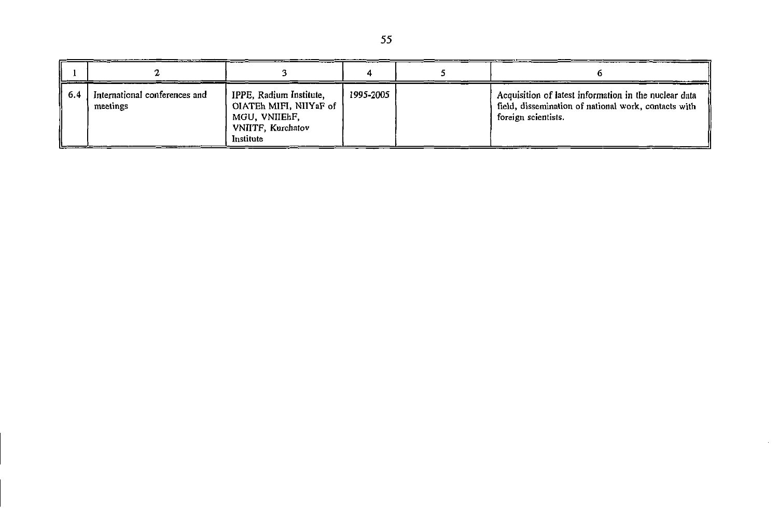| -6.4 | International conferences and<br>meetings | IPPE, Radium Institute,<br>OIATEh MIFI, NIIYaF of<br>MGU, VNIIEhF,<br>VNIITF, Kurchatov<br>Institute | 1995-2005 | Acquisition of latest information in the nuclear data<br>field, dissemination of national work, contacts with<br>foreign scientists. |
|------|-------------------------------------------|------------------------------------------------------------------------------------------------------|-----------|--------------------------------------------------------------------------------------------------------------------------------------|

 $\mathcal{A}^{\mathcal{A}}$